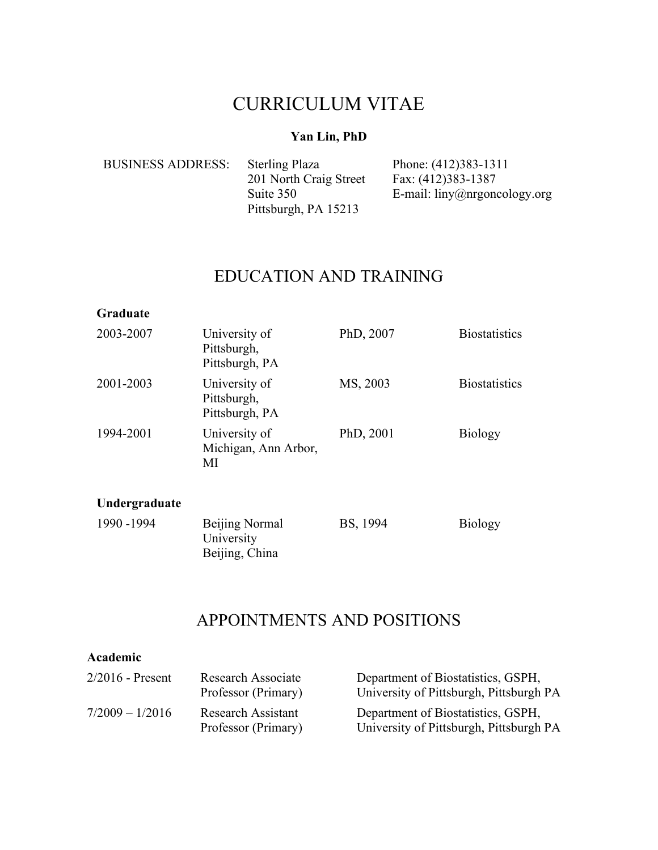# CURRICULUM VITAE

### **Yan Lin, PhD**

| <b>BUSINESS ADDRESS:</b> | <b>Sterling Plaza</b>  | Phone: (412)383-1311                         |
|--------------------------|------------------------|----------------------------------------------|
|                          | 201 North Craig Street | Fax: (412)383-1387                           |
|                          | Suite 350              | E-mail: $\lim_{\Omega}$ liny@nrgoncology.org |
|                          | Pittsburgh, PA 15213   |                                              |

# EDUCATION AND TRAINING

#### **Graduate**

| 2003-2007     | University of<br>Pittsburgh,<br>Pittsburgh, PA        | PhD, 2007 | <b>Biostatistics</b> |
|---------------|-------------------------------------------------------|-----------|----------------------|
| 2001-2003     | University of<br>Pittsburgh,<br>Pittsburgh, PA        | MS, 2003  | <b>Biostatistics</b> |
| 1994-2001     | University of<br>Michigan, Ann Arbor,<br>MI           | PhD, 2001 | <b>Biology</b>       |
| Undergraduate |                                                       |           |                      |
| 1990 - 1994   | <b>Beijing Normal</b><br>University<br>Beijing, China | BS, 1994  | <b>Biology</b>       |

## APPOINTMENTS AND POSITIONS

| Academic           |                                                  |                                                                               |
|--------------------|--------------------------------------------------|-------------------------------------------------------------------------------|
| $2/2016$ - Present | Research Associate<br>Professor (Primary)        | Department of Biostatistics, GSPH,<br>University of Pittsburgh, Pittsburgh PA |
| $7/2009 - 1/2016$  | <b>Research Assistant</b><br>Professor (Primary) | Department of Biostatistics, GSPH,<br>University of Pittsburgh, Pittsburgh PA |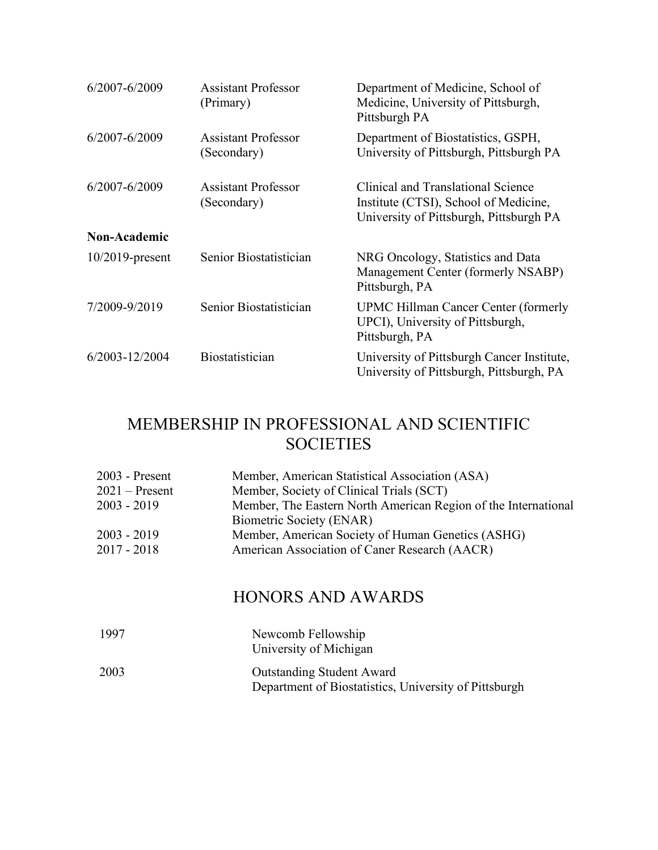| 6/2007-6/2009       | <b>Assistant Professor</b><br>(Primary)   | Department of Medicine, School of<br>Medicine, University of Pittsburgh,<br>Pittsburgh PA                              |
|---------------------|-------------------------------------------|------------------------------------------------------------------------------------------------------------------------|
| 6/2007-6/2009       | <b>Assistant Professor</b><br>(Secondary) | Department of Biostatistics, GSPH,<br>University of Pittsburgh, Pittsburgh PA                                          |
| 6/2007-6/2009       | <b>Assistant Professor</b><br>(Secondary) | Clinical and Translational Science<br>Institute (CTSI), School of Medicine,<br>University of Pittsburgh, Pittsburgh PA |
| <b>Non-Academic</b> |                                           |                                                                                                                        |
| $10/2019$ -present  | Senior Biostatistician                    | NRG Oncology, Statistics and Data<br>Management Center (formerly NSABP)<br>Pittsburgh, PA                              |
| 7/2009-9/2019       | Senior Biostatistician                    | <b>UPMC Hillman Cancer Center (formerly</b><br>UPCI), University of Pittsburgh,<br>Pittsburgh, PA                      |
| 6/2003-12/2004      | Biostatistician                           | University of Pittsburgh Cancer Institute,<br>University of Pittsburgh, Pittsburgh, PA                                 |

# MEMBERSHIP IN PROFESSIONAL AND SCIENTIFIC **SOCIETIES**

| $2003$ - Present | Member, American Statistical Association (ASA)                 |
|------------------|----------------------------------------------------------------|
| $2021$ – Present | Member, Society of Clinical Trials (SCT)                       |
| $2003 - 2019$    | Member, The Eastern North American Region of the International |
|                  | Biometric Society (ENAR)                                       |
| $2003 - 2019$    | Member, American Society of Human Genetics (ASHG)              |
| $2017 - 2018$    | American Association of Caner Research (AACR)                  |

# HONORS AND AWARDS

| 1997 | Newcomb Fellowship<br>University of Michigan                                              |
|------|-------------------------------------------------------------------------------------------|
| 2003 | <b>Outstanding Student Award</b><br>Department of Biostatistics, University of Pittsburgh |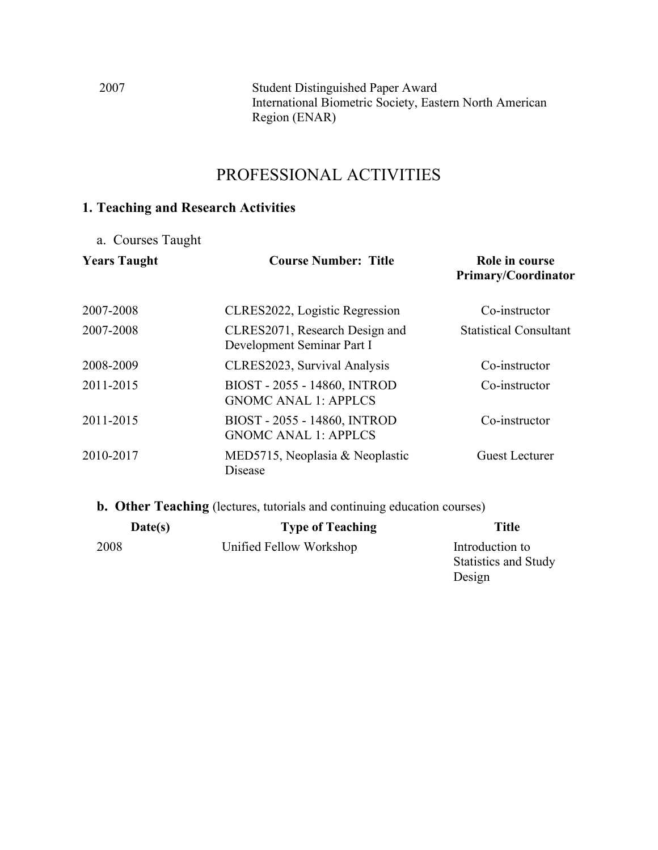2007 Student Distinguished Paper Award International Biometric Society, Eastern North American Region (ENAR)

## PROFESSIONAL ACTIVITIES

## **1. Teaching and Research Activities**

a. Courses Taught

| <b>Years Taught</b> | <b>Course Number: Title</b>                                  | Role in course<br><b>Primary/Coordinator</b> |
|---------------------|--------------------------------------------------------------|----------------------------------------------|
| 2007-2008           | CLRES2022, Logistic Regression                               | Co-instructor                                |
| 2007-2008           | CLRES2071, Research Design and<br>Development Seminar Part I | <b>Statistical Consultant</b>                |
| 2008-2009           | CLRES2023, Survival Analysis                                 | Co-instructor                                |
| 2011-2015           | BIOST - 2055 - 14860, INTROD<br><b>GNOMC ANAL 1: APPLCS</b>  | Co-instructor                                |
| 2011-2015           | BIOST - 2055 - 14860, INTROD<br><b>GNOMC ANAL 1: APPLCS</b>  | Co-instructor                                |
| 2010-2017           | MED5715, Neoplasia & Neoplastic<br>Disease                   | Guest Lecturer                               |

**b. Other Teaching** (lectures, tutorials and continuing education courses)

| Date(s) | <b>Type of Teaching</b> | <b>Title</b>                |
|---------|-------------------------|-----------------------------|
| 2008    | Unified Fellow Workshop | Introduction to             |
|         |                         | <b>Statistics and Study</b> |
|         |                         | Design                      |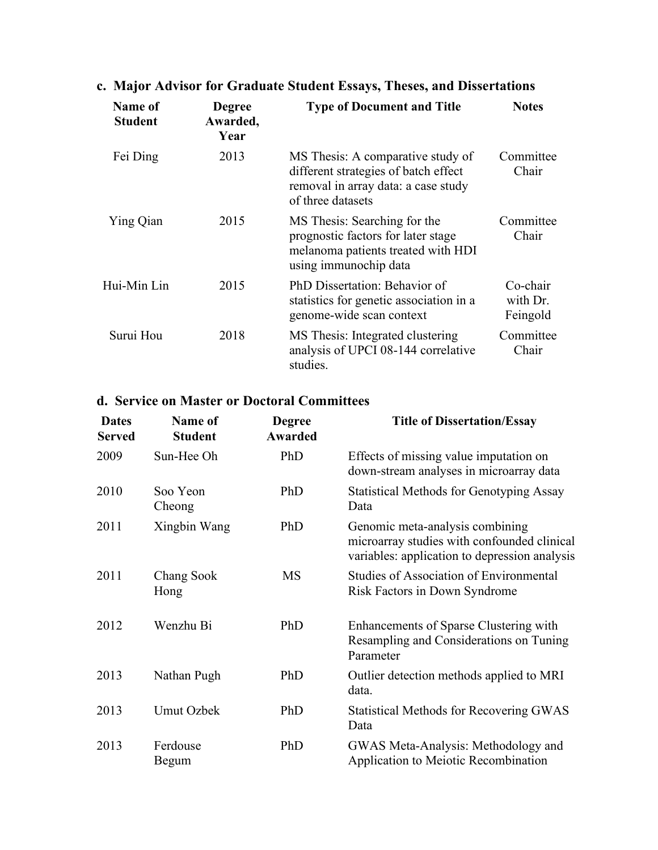| Name of<br><b>Student</b> | <b>Degree</b><br>Awarded,<br>Year | <b>Type of Document and Title</b>                                                                                                     | <b>Notes</b>                     |
|---------------------------|-----------------------------------|---------------------------------------------------------------------------------------------------------------------------------------|----------------------------------|
| Fei Ding                  | 2013                              | MS Thesis: A comparative study of<br>different strategies of batch effect<br>removal in array data: a case study<br>of three datasets | Committee<br>Chair               |
| Ying Qian                 | 2015                              | MS Thesis: Searching for the<br>prognostic factors for later stage<br>melanoma patients treated with HDI<br>using immunochip data     | Committee<br>Chair               |
| Hui-Min Lin               | 2015                              | PhD Dissertation: Behavior of<br>statistics for genetic association in a<br>genome-wide scan context                                  | Co-chair<br>with Dr.<br>Feingold |
| Surui Hou                 | 2018                              | MS Thesis: Integrated clustering<br>analysis of UPCI 08-144 correlative<br>studies.                                                   | Committee<br>Chair               |

# **c. Major Advisor for Graduate Student Essays, Theses, and Dissertations**

## **d. Service on Master or Doctoral Committees**

| <b>Dates</b><br><b>Served</b> | <b>Name of</b><br><b>Student</b> | <b>Degree</b><br><b>Awarded</b> | <b>Title of Dissertation/Essay</b>                                                                                              |
|-------------------------------|----------------------------------|---------------------------------|---------------------------------------------------------------------------------------------------------------------------------|
| 2009                          | Sun-Hee Oh                       | PhD                             | Effects of missing value imputation on<br>down-stream analyses in microarray data                                               |
| 2010                          | Soo Yeon<br>Cheong               | PhD                             | <b>Statistical Methods for Genotyping Assay</b><br>Data                                                                         |
| 2011                          | Xingbin Wang                     | PhD                             | Genomic meta-analysis combining<br>microarray studies with confounded clinical<br>variables: application to depression analysis |
| 2011                          | Chang Sook<br>Hong               | <b>MS</b>                       | <b>Studies of Association of Environmental</b><br>Risk Factors in Down Syndrome                                                 |
| 2012                          | Wenzhu Bi                        | PhD                             | Enhancements of Sparse Clustering with<br>Resampling and Considerations on Tuning<br>Parameter                                  |
| 2013                          | Nathan Pugh                      | PhD                             | Outlier detection methods applied to MRI<br>data.                                                                               |
| 2013                          | <b>Umut Ozbek</b>                | PhD                             | <b>Statistical Methods for Recovering GWAS</b><br>Data                                                                          |
| 2013                          | Ferdouse<br>Begum                | PhD                             | GWAS Meta-Analysis: Methodology and<br>Application to Meiotic Recombination                                                     |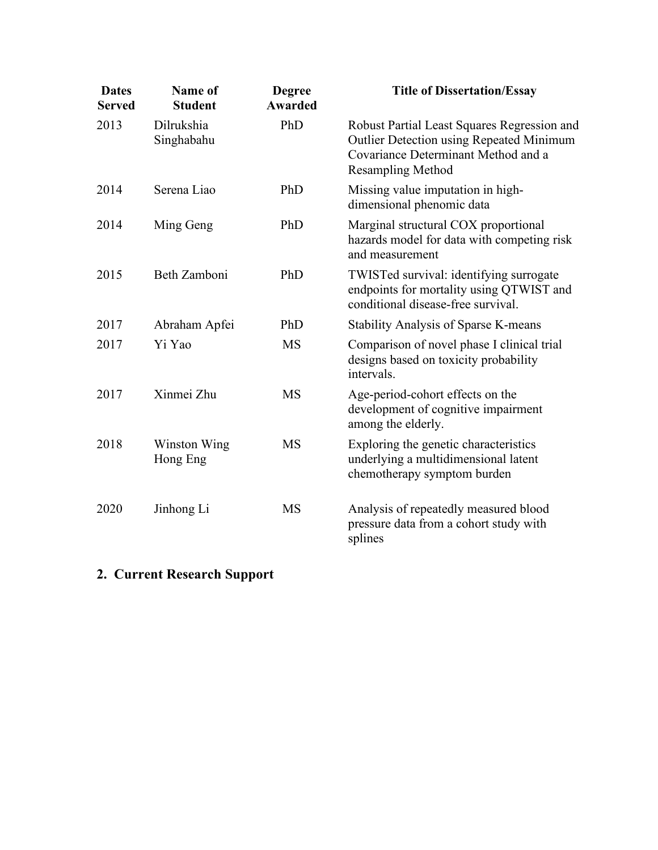| <b>Dates</b><br><b>Served</b> | <b>Name of</b><br><b>Student</b> | <b>Degree</b><br><b>Awarded</b> | <b>Title of Dissertation/Essay</b>                                                                                                                                |
|-------------------------------|----------------------------------|---------------------------------|-------------------------------------------------------------------------------------------------------------------------------------------------------------------|
| 2013                          | Dilrukshia<br>Singhabahu         | PhD                             | Robust Partial Least Squares Regression and<br><b>Outlier Detection using Repeated Minimum</b><br>Covariance Determinant Method and a<br><b>Resampling Method</b> |
| 2014                          | Serena Liao                      | PhD                             | Missing value imputation in high-<br>dimensional phenomic data                                                                                                    |
| 2014                          | Ming Geng                        | PhD                             | Marginal structural COX proportional<br>hazards model for data with competing risk<br>and measurement                                                             |
| 2015                          | Beth Zamboni                     | PhD                             | TWISTed survival: identifying surrogate<br>endpoints for mortality using QTWIST and<br>conditional disease-free survival.                                         |
| 2017                          | Abraham Apfei                    | PhD                             | <b>Stability Analysis of Sparse K-means</b>                                                                                                                       |
| 2017                          | Yi Yao                           | <b>MS</b>                       | Comparison of novel phase I clinical trial<br>designs based on toxicity probability<br>intervals.                                                                 |
| 2017                          | Xinmei Zhu                       | <b>MS</b>                       | Age-period-cohort effects on the<br>development of cognitive impairment<br>among the elderly.                                                                     |
| 2018                          | Winston Wing<br>Hong Eng         | <b>MS</b>                       | Exploring the genetic characteristics<br>underlying a multidimensional latent<br>chemotherapy symptom burden                                                      |
| 2020                          | Jinhong Li                       | <b>MS</b>                       | Analysis of repeatedly measured blood<br>pressure data from a cohort study with<br>splines                                                                        |

# **2. Current Research Support**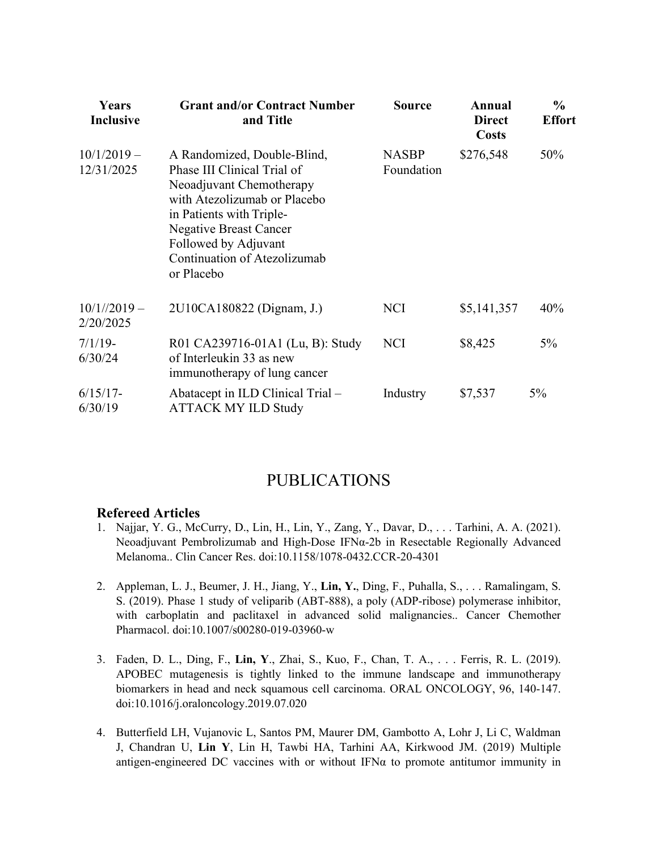| Years<br><b>Inclusive</b>   | <b>Grant and/or Contract Number</b><br>and Title                                                                                                                                                                                                          | <b>Source</b>              | Annual<br><b>Direct</b><br><b>Costs</b> | $\frac{0}{0}$<br><b>Effort</b> |
|-----------------------------|-----------------------------------------------------------------------------------------------------------------------------------------------------------------------------------------------------------------------------------------------------------|----------------------------|-----------------------------------------|--------------------------------|
| $10/1/2019 -$<br>12/31/2025 | A Randomized, Double-Blind,<br>Phase III Clinical Trial of<br>Neoadjuvant Chemotherapy<br>with Atezolizumab or Placebo<br>in Patients with Triple-<br><b>Negative Breast Cancer</b><br>Followed by Adjuvant<br>Continuation of Atezolizumab<br>or Placebo | <b>NASBP</b><br>Foundation | \$276,548                               | 50%                            |
| $10/1//2019-$<br>2/20/2025  | 2U10CA180822 (Dignam, J.)                                                                                                                                                                                                                                 | <b>NCI</b>                 | \$5,141,357                             | 40%                            |
| $7/1/19$ -<br>6/30/24       | R01 CA239716-01A1 (Lu, B): Study<br>of Interleukin 33 as new<br>immunotherapy of lung cancer                                                                                                                                                              | <b>NCI</b>                 | \$8,425                                 | $5\%$                          |
| $6/15/17$ -<br>6/30/19      | Abatacept in ILD Clinical Trial -<br><b>ATTACK MY ILD Study</b>                                                                                                                                                                                           | Industry                   | \$7,537                                 | 5%                             |

## PUBLICATIONS

#### **Refereed Articles**

- 1. Najjar, Y. G., McCurry, D., Lin, H., Lin, Y., Zang, Y., Davar, D., . . . Tarhini, A. A. (2021). Neoadjuvant Pembrolizumab and High-Dose IFNα-2b in Resectable Regionally Advanced Melanoma.. Clin Cancer Res. doi:10.1158/1078-0432.CCR-20-4301
- 2. Appleman, L. J., Beumer, J. H., Jiang, Y., **Lin, Y.**, Ding, F., Puhalla, S., . . . Ramalingam, S. S. (2019). Phase 1 study of veliparib (ABT-888), a poly (ADP-ribose) polymerase inhibitor, with carboplatin and paclitaxel in advanced solid malignancies.. Cancer Chemother Pharmacol. doi:10.1007/s00280-019-03960-w
- 3. Faden, D. L., Ding, F., **Lin, Y**., Zhai, S., Kuo, F., Chan, T. A., . . . Ferris, R. L. (2019). APOBEC mutagenesis is tightly linked to the immune landscape and immunotherapy biomarkers in head and neck squamous cell carcinoma. ORAL ONCOLOGY, 96, 140-147. doi:10.1016/j.oraloncology.2019.07.020
- 4. Butterfield LH, Vujanovic L, Santos PM, Maurer DM, Gambotto A, Lohr J, Li C, Waldman J, Chandran U, **Lin Y**, Lin H, Tawbi HA, Tarhini AA, Kirkwood JM. (2019) [Multiple](https://nam05.safelinks.protection.outlook.com/?url=https%3A%2F%2Fwww.ncbi.nlm.nih.gov%2Fpubmed%2F31014399&data=02%7C01%7Cyal14%40pitt.edu%7Ca9a32f4582e646ae271408d6c97e97ca%7C9ef9f489e0a04eeb87cc3a526112fd0d%7C1%7C0%7C636917942876493890&sdata=w61xQRbZOcH47nasqv3ki4lfjNwkIkxdQ1II5Cw8CI0%3D&reserved=0)  antigen-engineered DC vac[cines with or without IFNα to promote](https://nam05.safelinks.protection.outlook.com/?url=https%3A%2F%2Fwww.ncbi.nlm.nih.gov%2Fpubmed%2F31014399&data=02%7C01%7Cyal14%40pitt.edu%7Ca9a32f4582e646ae271408d6c97e97ca%7C9ef9f489e0a04eeb87cc3a526112fd0d%7C1%7C0%7C636917942876493890&sdata=w61xQRbZOcH47nasqv3ki4lfjNwkIkxdQ1II5Cw8CI0%3D&reserved=0) antitumor immunity in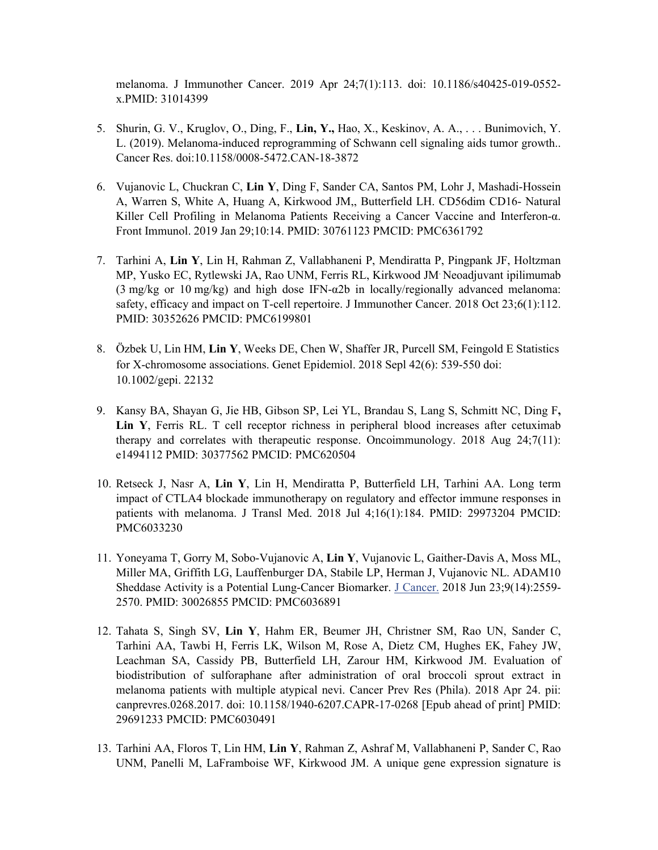[melanoma.](https://nam05.safelinks.protection.outlook.com/?url=https%3A%2F%2Fwww.ncbi.nlm.nih.gov%2Fpubmed%2F31014399&data=02%7C01%7Cyal14%40pitt.edu%7Ca9a32f4582e646ae271408d6c97e97ca%7C9ef9f489e0a04eeb87cc3a526112fd0d%7C1%7C0%7C636917942876493890&sdata=w61xQRbZOcH47nasqv3ki4lfjNwkIkxdQ1II5Cw8CI0%3D&reserved=0) J Immunother Cancer. 2019 Apr 24;7(1):113. doi: 10.1186/s40425-019-0552 x.PMID: 31014399

- 5. Shurin, G. V., Kruglov, O., Ding, F., **Lin, Y.,** Hao, X., Keskinov, A. A., . . . Bunimovich, Y. L. (2019). Melanoma-induced reprogramming of Schwann cell signaling aids tumor growth.. Cancer Res. doi[:10.1158/0008-5472.CAN-18-3872](http://doi.org/10.1158/0008-5472.CAN-18-3872)
- 6. [Vujanovic L,](https://www.ncbi.nlm.nih.gov/pubmed/?term=Vujanovic%20L%5BAuthor%5D&cauthor=true&cauthor_uid=30761123) [Chuckran C,](https://www.ncbi.nlm.nih.gov/pubmed/?term=Chuckran%20C%5BAuthor%5D&cauthor=true&cauthor_uid=30761123) **[Lin Y](https://www.ncbi.nlm.nih.gov/pubmed/?term=Lin%20Y%5BAuthor%5D&cauthor=true&cauthor_uid=30761123)**, [Ding F,](https://www.ncbi.nlm.nih.gov/pubmed/?term=Ding%20F%5BAuthor%5D&cauthor=true&cauthor_uid=30761123) [Sander CA,](https://www.ncbi.nlm.nih.gov/pubmed/?term=Sander%20CA%5BAuthor%5D&cauthor=true&cauthor_uid=30761123) [Santos PM,](https://www.ncbi.nlm.nih.gov/pubmed/?term=Santos%20PM%5BAuthor%5D&cauthor=true&cauthor_uid=30761123) [Lohr J,](https://www.ncbi.nlm.nih.gov/pubmed/?term=Lohr%20J%5BAuthor%5D&cauthor=true&cauthor_uid=30761123) [Mashadi-Hossein](https://www.ncbi.nlm.nih.gov/pubmed/?term=Mashadi-Hossein%20A%5BAuthor%5D&cauthor=true&cauthor_uid=30761123) [A,](https://www.ncbi.nlm.nih.gov/pubmed/?term=Mashadi-Hossein%20A%5BAuthor%5D&cauthor=true&cauthor_uid=30761123) [Warren S,](https://www.ncbi.nlm.nih.gov/pubmed/?term=Warren%20S%5BAuthor%5D&cauthor=true&cauthor_uid=30761123) [White A,](https://www.ncbi.nlm.nih.gov/pubmed/?term=White%20A%5BAuthor%5D&cauthor=true&cauthor_uid=30761123) [Huang A,](https://www.ncbi.nlm.nih.gov/pubmed/?term=Huang%20A%5BAuthor%5D&cauthor=true&cauthor_uid=30761123) [Kirkwood JM,](https://www.ncbi.nlm.nih.gov/pubmed/?term=Kirkwood%20JM%5BAuthor%5D&cauthor=true&cauthor_uid=30761123), [Butterfield LH.](https://www.ncbi.nlm.nih.gov/pubmed/?term=Butterfield%20LH%5BAuthor%5D&cauthor=true&cauthor_uid=30761123) CD56dim CD16- Natural Killer Cell Profiling in Melanoma Patients Receiving a Cancer Vaccine and Interferon-α. [Front Immunol.](https://www.ncbi.nlm.nih.gov/pubmed/30761123) 2019 Jan 29;10:14. PMID: 30761123 PMCID: PMC6361792
- 7. [Tarhini](https://www.ncbi.nlm.nih.gov/pubmed/?term=Tarhini%20A%5BAuthor%5D&cauthor=true&cauthor_uid=30352626) A, **[Lin](https://www.ncbi.nlm.nih.gov/pubmed/?term=Lin%20Y%5BAuthor%5D&cauthor=true&cauthor_uid=30352626) Y**, [Lin H,](https://www.ncbi.nlm.nih.gov/pubmed/?term=Lin%20H%5BAuthor%5D&cauthor=true&cauthor_uid=30352626) [Rahman Z,](https://www.ncbi.nlm.nih.gov/pubmed/?term=Rahman%20Z%5BAuthor%5D&cauthor=true&cauthor_uid=30352626) [Vallabhaneni](https://www.ncbi.nlm.nih.gov/pubmed/?term=Vallabhaneni%20P%5BAuthor%5D&cauthor=true&cauthor_uid=30352626) P, [Mendiratta P,](https://www.ncbi.nlm.nih.gov/pubmed/?term=Mendiratta%20P%5BAuthor%5D&cauthor=true&cauthor_uid=30352626) [Pingpank JF,](https://www.ncbi.nlm.nih.gov/pubmed/?term=Pingpank%20JF%5BAuthor%5D&cauthor=true&cauthor_uid=30352626) [Holtzman](https://www.ncbi.nlm.nih.gov/pubmed/?term=Holtzman%20MP%5BAuthor%5D&cauthor=true&cauthor_uid=30352626)  [MP,](https://www.ncbi.nlm.nih.gov/pubmed/?term=Holtzman%20MP%5BAuthor%5D&cauthor=true&cauthor_uid=30352626) [Yusko EC,](https://www.ncbi.nlm.nih.gov/pubmed/?term=Yusko%20EC%5BAuthor%5D&cauthor=true&cauthor_uid=30352626) [Rytlewski JA,](https://www.ncbi.nlm.nih.gov/pubmed/?term=Rytlewski%20JA%5BAuthor%5D&cauthor=true&cauthor_uid=30352626) [Rao UNM,](https://www.ncbi.nlm.nih.gov/pubmed/?term=Rao%20UNM%5BAuthor%5D&cauthor=true&cauthor_uid=30352626) [Ferris RL,](https://www.ncbi.nlm.nih.gov/pubmed/?term=Ferris%20RL%5BAuthor%5D&cauthor=true&cauthor_uid=30352626) [Kirkwood JM.](https://www.ncbi.nlm.nih.gov/pubmed/?term=Kirkwood%20JM%5BAuthor%5D&cauthor=true&cauthor_uid=30352626) Neoadjuvant ipilimumab (3 mg/kg or 10 mg/kg) and high dose IFN-α2b in locally/regionally advanced melanoma: safety, efficacy and impact on T-cell repertoire. [J Immunother Cancer.](https://www.ncbi.nlm.nih.gov/pubmed/30352626) 2018 Oct 23;6(1):112. PMID: 30352626 PMCID: PMC6199801
- 8. [Özbek U,](https://www.ncbi.nlm.nih.gov/pubmed/?term=%C3%96zbek%20U%5BAuthor%5D&cauthor=true&cauthor_uid=29900581) Lin HM, **Lin Y**, Weeks DE, Chen W, Shaffer JR, Purcell SM, Feingold E Statistics for X-chromosome associations. Genet Epidemiol. 2018 Sepl 42(6): 539-550 doi: 10.1002/gepi. 22132
- 9. [Kansy BA,](https://www.ncbi.nlm.nih.gov/pubmed/?term=Kansy%20BA%5BAuthor%5D&cauthor=true&cauthor_uid=30377562) [Shayan G,](https://www.ncbi.nlm.nih.gov/pubmed/?term=Shayan%20G%5BAuthor%5D&cauthor=true&cauthor_uid=30377562) [Jie HB,](https://www.ncbi.nlm.nih.gov/pubmed/?term=Jie%20HB%5BAuthor%5D&cauthor=true&cauthor_uid=30377562) [Gibson SP,](https://www.ncbi.nlm.nih.gov/pubmed/?term=Gibson%20SP%5BAuthor%5D&cauthor=true&cauthor_uid=30377562) [Lei YL,](https://www.ncbi.nlm.nih.gov/pubmed/?term=Lei%20YL%5BAuthor%5D&cauthor=true&cauthor_uid=30377562) [Brandau S,](https://www.ncbi.nlm.nih.gov/pubmed/?term=Brandau%20S%5BAuthor%5D&cauthor=true&cauthor_uid=30377562) [Lang S,](https://www.ncbi.nlm.nih.gov/pubmed/?term=Lang%20S%5BAuthor%5D&cauthor=true&cauthor_uid=30377562) [Schmitt NC,](https://www.ncbi.nlm.nih.gov/pubmed/?term=Schmitt%20NC%5BAuthor%5D&cauthor=true&cauthor_uid=30377562) [Ding F](https://www.ncbi.nlm.nih.gov/pubmed/?term=Ding%20F%5BAuthor%5D&cauthor=true&cauthor_uid=30377562)**, [Lin Y](https://www.ncbi.nlm.nih.gov/pubmed/?term=Lin%20Y%5BAuthor%5D&cauthor=true&cauthor_uid=30377562)**, [Ferris RL.](https://www.ncbi.nlm.nih.gov/pubmed/?term=Ferris%20RL%5BAuthor%5D&cauthor=true&cauthor_uid=30377562) T cell receptor richness in peripheral blood increases after cetuximab therapy and correlates with therapeutic response. [Oncoimmunology.](https://www.ncbi.nlm.nih.gov/pubmed/30377562) 2018 Aug 24;7(11): e1494112 PMID: 30377562 PMCID: PMC620504
- 10. [Retseck J,](https://www.ncbi.nlm.nih.gov/pubmed/?term=Retseck%20J%5BAuthor%5D&cauthor=true&cauthor_uid=29973204) [Nasr A,](https://www.ncbi.nlm.nih.gov/pubmed/?term=Nasr%20A%5BAuthor%5D&cauthor=true&cauthor_uid=29973204) **[Lin Y](https://www.ncbi.nlm.nih.gov/pubmed/?term=Lin%20Y%5BAuthor%5D&cauthor=true&cauthor_uid=29973204)**, [Lin H,](https://www.ncbi.nlm.nih.gov/pubmed/?term=Lin%20H%5BAuthor%5D&cauthor=true&cauthor_uid=29973204) [Mendiratta P,](https://www.ncbi.nlm.nih.gov/pubmed/?term=Mendiratta%20P%5BAuthor%5D&cauthor=true&cauthor_uid=29973204) [Butterfield LH,](https://www.ncbi.nlm.nih.gov/pubmed/?term=Butterfield%20LH%5BAuthor%5D&cauthor=true&cauthor_uid=29973204) [Tarhini](https://www.ncbi.nlm.nih.gov/pubmed/?term=Tarhini%20AA%5BAuthor%5D&cauthor=true&cauthor_uid=29973204) AA. Long term impact of CTLA4 blockade immunotherapy on regulatory and effector immune responses in patients with melanoma. [J Transl Med.](https://www.ncbi.nlm.nih.gov/pubmed/29973204) 2018 Jul 4;16(1):184. PMID: 29973204 PMCID: PMC6033230
- 11. [Yoneyama T,](https://www.ncbi.nlm.nih.gov/pubmed/?term=Yoneyama%20T%5BAuthor%5D&cauthor=true&cauthor_uid=30026855) [Gorry M,](https://www.ncbi.nlm.nih.gov/pubmed/?term=Gorry%20M%5BAuthor%5D&cauthor=true&cauthor_uid=30026855) [Sobo-Vujanovic A,](https://www.ncbi.nlm.nih.gov/pubmed/?term=Sobo-Vujanovic%20A%5BAuthor%5D&cauthor=true&cauthor_uid=30026855) **[Lin Y](https://www.ncbi.nlm.nih.gov/pubmed/?term=Lin%20Y%5BAuthor%5D&cauthor=true&cauthor_uid=30026855)**, [Vujanovic L,](https://www.ncbi.nlm.nih.gov/pubmed/?term=Vujanovic%20L%5BAuthor%5D&cauthor=true&cauthor_uid=30026855) [Gaither-Davis A,](https://www.ncbi.nlm.nih.gov/pubmed/?term=Gaither-Davis%20A%5BAuthor%5D&cauthor=true&cauthor_uid=30026855) [Moss ML,](https://www.ncbi.nlm.nih.gov/pubmed/?term=Moss%20ML%5BAuthor%5D&cauthor=true&cauthor_uid=30026855) [Miller MA,](https://www.ncbi.nlm.nih.gov/pubmed/?term=Miller%20MA%5BAuthor%5D&cauthor=true&cauthor_uid=30026855) [Griffith LG,](https://www.ncbi.nlm.nih.gov/pubmed/?term=Griffith%20LG%5BAuthor%5D&cauthor=true&cauthor_uid=30026855) [Lauffenburger DA,](https://www.ncbi.nlm.nih.gov/pubmed/?term=Lauffenburger%20DA%5BAuthor%5D&cauthor=true&cauthor_uid=30026855) [Stabile LP,](https://www.ncbi.nlm.nih.gov/pubmed/?term=Stabile%20LP%5BAuthor%5D&cauthor=true&cauthor_uid=30026855) [Herman J,](https://www.ncbi.nlm.nih.gov/pubmed/?term=Herman%20J%5BAuthor%5D&cauthor=true&cauthor_uid=30026855) [Vujanovic NL.](https://www.ncbi.nlm.nih.gov/pubmed/?term=Vujanovic%20NL%5BAuthor%5D&cauthor=true&cauthor_uid=30026855) ADAM10 Sheddase Activity is a Potential Lung-Cancer Biomarker. [J Cancer.](https://www.ncbi.nlm.nih.gov/pubmed/30026855) 2018 Jun 23;9(14):2559- 2570. PMID: 30026855 PMCID: PMC6036891
- 12. Tahata S, [Singh SV,](https://www.ncbi.nlm.nih.gov/pubmed/?term=Singh%20SV%5BAuthor%5D&cauthor=true&cauthor_uid=29691233) **[Lin Y](https://www.ncbi.nlm.nih.gov/pubmed/?term=Lin%20Y%5BAuthor%5D&cauthor=true&cauthor_uid=29691233)**, [Hahm ER,](https://www.ncbi.nlm.nih.gov/pubmed/?term=Hahm%20ER%5BAuthor%5D&cauthor=true&cauthor_uid=29691233) [Beumer JH,](https://www.ncbi.nlm.nih.gov/pubmed/?term=Beumer%20JH%5BAuthor%5D&cauthor=true&cauthor_uid=29691233) [Christner SM,](https://www.ncbi.nlm.nih.gov/pubmed/?term=Christner%20SM%5BAuthor%5D&cauthor=true&cauthor_uid=29691233) Rao UN, [Sander C,](https://www.ncbi.nlm.nih.gov/pubmed/?term=Sander%20C%5BAuthor%5D&cauthor=true&cauthor_uid=29691233) [Tarhini AA,](https://www.ncbi.nlm.nih.gov/pubmed/?term=Tarhini%20AA%5BAuthor%5D&cauthor=true&cauthor_uid=29691233) [Tawbi H,](https://www.ncbi.nlm.nih.gov/pubmed/?term=Tawbi%20H%5BAuthor%5D&cauthor=true&cauthor_uid=29691233) [Ferris LK,](https://www.ncbi.nlm.nih.gov/pubmed/?term=Ferris%20LK%5BAuthor%5D&cauthor=true&cauthor_uid=29691233) [Wilson M,](https://www.ncbi.nlm.nih.gov/pubmed/?term=Wilson%20M%5BAuthor%5D&cauthor=true&cauthor_uid=29691233) [Rose A,](https://www.ncbi.nlm.nih.gov/pubmed/?term=Rose%20A%5BAuthor%5D&cauthor=true&cauthor_uid=29691233) [Dietz CM,](https://www.ncbi.nlm.nih.gov/pubmed/?term=Dietz%20CM%5BAuthor%5D&cauthor=true&cauthor_uid=29691233) [Hughes EK,](https://www.ncbi.nlm.nih.gov/pubmed/?term=Hughes%20EK%5BAuthor%5D&cauthor=true&cauthor_uid=29691233) [Fahey JW,](https://www.ncbi.nlm.nih.gov/pubmed/?term=Fahey%20JW%5BAuthor%5D&cauthor=true&cauthor_uid=29691233) [Leachman SA,](https://www.ncbi.nlm.nih.gov/pubmed/?term=Leachman%20SA%5BAuthor%5D&cauthor=true&cauthor_uid=29691233) [Cassidy PB,](https://www.ncbi.nlm.nih.gov/pubmed/?term=Cassidy%20PB%5BAuthor%5D&cauthor=true&cauthor_uid=29691233) [Butterfield LH,](https://www.ncbi.nlm.nih.gov/pubmed/?term=Butterfield%20LH%5BAuthor%5D&cauthor=true&cauthor_uid=29691233) [Zarour HM,](https://www.ncbi.nlm.nih.gov/pubmed/?term=Zarour%20HM%5BAuthor%5D&cauthor=true&cauthor_uid=29691233) [Kirkwood JM.](https://www.ncbi.nlm.nih.gov/pubmed/?term=Kirkwood%20JM%5BAuthor%5D&cauthor=true&cauthor_uid=29691233) Evaluation of biodistribution of sulforaphane after administration of oral broccoli sprout extract in melanoma patients with multiple atypical nevi. Cancer Prev Res (Phila). 2018 Apr 24. pii: canprevres.0268.2017. doi: 10.1158/1940-6207.CAPR-17-0268 [Epub ahead of print] PMID: 29691233 PMCID: PMC6030491
- 13. [Tarhini AA,](https://www.ncbi.nlm.nih.gov/pubmed/?term=Tarhini%20AA%5BAuthor%5D&cauthor=true&cauthor_uid=28825947) [Floros T,](https://www.ncbi.nlm.nih.gov/pubmed/?term=Floros%20T%5BAuthor%5D&cauthor=true&cauthor_uid=28825947) [Lin HM,](https://www.ncbi.nlm.nih.gov/pubmed/?term=Lin%20HM%5BAuthor%5D&cauthor=true&cauthor_uid=28825947) **[Lin Y](https://www.ncbi.nlm.nih.gov/pubmed/?term=Lin%20Y%5BAuthor%5D&cauthor=true&cauthor_uid=28825947)**, [Rahman Z,](https://www.ncbi.nlm.nih.gov/pubmed/?term=Rahman%20Z%5BAuthor%5D&cauthor=true&cauthor_uid=28825947) [Ashraf M,](https://www.ncbi.nlm.nih.gov/pubmed/?term=Ashraf%20M%5BAuthor%5D&cauthor=true&cauthor_uid=28825947) [Vallabhaneni](https://www.ncbi.nlm.nih.gov/pubmed/?term=Vallabhaneni%20P%5BAuthor%5D&cauthor=true&cauthor_uid=28825947) P, [Sander C,](https://www.ncbi.nlm.nih.gov/pubmed/?term=Sander%20C%5BAuthor%5D&cauthor=true&cauthor_uid=28825947) [Rao](https://www.ncbi.nlm.nih.gov/pubmed/?term=Rao%20UNM%5BAuthor%5D&cauthor=true&cauthor_uid=28825947)  [UNM,](https://www.ncbi.nlm.nih.gov/pubmed/?term=Rao%20UNM%5BAuthor%5D&cauthor=true&cauthor_uid=28825947) [Panelli M,](https://www.ncbi.nlm.nih.gov/pubmed/?term=Panelli%20M%5BAuthor%5D&cauthor=true&cauthor_uid=28825947) [LaFramboise WF,](https://www.ncbi.nlm.nih.gov/pubmed/?term=LaFramboise%20WF%5BAuthor%5D&cauthor=true&cauthor_uid=28825947) [Kirkwood JM.](https://www.ncbi.nlm.nih.gov/pubmed/?term=Kirkwood%20JM%5BAuthor%5D&cauthor=true&cauthor_uid=28825947) A unique gene expression signature is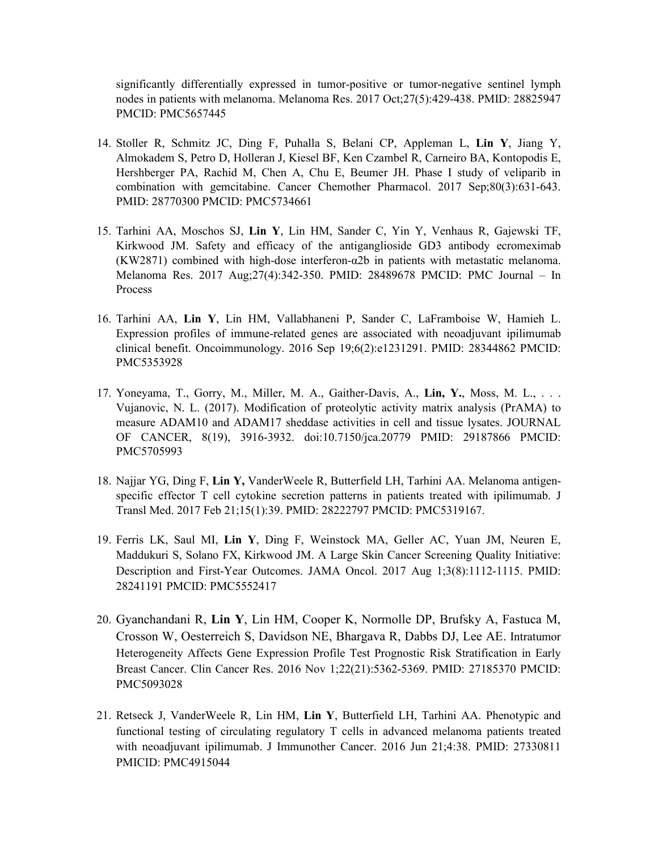significantly differentially expressed in tumor-positive or tumor-negative sentinel lymph nodes in patients with melanoma. [Melanoma](https://www.ncbi.nlm.nih.gov/pubmed/28825947) Res. 2017 Oct;27(5):429-438. PMID: 28825947 PMCID: PMC5657445

- 14. [Stoller R,](https://www.ncbi.nlm.nih.gov/pubmed/?term=Stoller%20R%5BAuthor%5D&cauthor=true&cauthor_uid=28770300) [Schmitz JC,](https://www.ncbi.nlm.nih.gov/pubmed/?term=Schmitz%20JC%5BAuthor%5D&cauthor=true&cauthor_uid=28770300) [Ding F,](https://www.ncbi.nlm.nih.gov/pubmed/?term=Ding%20F%5BAuthor%5D&cauthor=true&cauthor_uid=28770300) [Puhalla S,](https://www.ncbi.nlm.nih.gov/pubmed/?term=Puhalla%20S%5BAuthor%5D&cauthor=true&cauthor_uid=28770300) [Belani CP,](https://www.ncbi.nlm.nih.gov/pubmed/?term=Belani%20CP%5BAuthor%5D&cauthor=true&cauthor_uid=28770300) [Appleman L,](https://www.ncbi.nlm.nih.gov/pubmed/?term=Appleman%20L%5BAuthor%5D&cauthor=true&cauthor_uid=28770300) **[Lin Y](https://www.ncbi.nlm.nih.gov/pubmed/?term=Lin%20Y%5BAuthor%5D&cauthor=true&cauthor_uid=28770300)**, [Jiang Y,](https://www.ncbi.nlm.nih.gov/pubmed/?term=Jiang%20Y%5BAuthor%5D&cauthor=true&cauthor_uid=28770300)  [Almokadem S,](https://www.ncbi.nlm.nih.gov/pubmed/?term=Almokadem%20S%5BAuthor%5D&cauthor=true&cauthor_uid=28770300) [Petro D,](https://www.ncbi.nlm.nih.gov/pubmed/?term=Petro%20D%5BAuthor%5D&cauthor=true&cauthor_uid=28770300) [Holleran J,](https://www.ncbi.nlm.nih.gov/pubmed/?term=Holleran%20J%5BAuthor%5D&cauthor=true&cauthor_uid=28770300) [Kiesel BF,](https://www.ncbi.nlm.nih.gov/pubmed/?term=Kiesel%20BF%5BAuthor%5D&cauthor=true&cauthor_uid=28770300) [Ken Czambel R,](https://www.ncbi.nlm.nih.gov/pubmed/?term=Ken%20Czambel%20R%5BAuthor%5D&cauthor=true&cauthor_uid=28770300) [Carneiro BA,](https://www.ncbi.nlm.nih.gov/pubmed/?term=Carneiro%20BA%5BAuthor%5D&cauthor=true&cauthor_uid=28770300) [Kontopodis E,](https://www.ncbi.nlm.nih.gov/pubmed/?term=Kontopodis%20E%5BAuthor%5D&cauthor=true&cauthor_uid=28770300)  [Hershberger PA,](https://www.ncbi.nlm.nih.gov/pubmed/?term=Hershberger%20PA%5BAuthor%5D&cauthor=true&cauthor_uid=28770300) [Rachid M,](https://www.ncbi.nlm.nih.gov/pubmed/?term=Rachid%20M%5BAuthor%5D&cauthor=true&cauthor_uid=28770300) [Chen A,](https://www.ncbi.nlm.nih.gov/pubmed/?term=Chen%20A%5BAuthor%5D&cauthor=true&cauthor_uid=28770300) [Chu E,](https://www.ncbi.nlm.nih.gov/pubmed/?term=Chu%20E%5BAuthor%5D&cauthor=true&cauthor_uid=28770300) [Beumer JH.](https://www.ncbi.nlm.nih.gov/pubmed/?term=Beumer%20JH%5BAuthor%5D&cauthor=true&cauthor_uid=28770300) Phase I study of veliparib in combination with gemcitabine. [Cancer Chemother Pharmacol.](https://www.ncbi.nlm.nih.gov/pubmed/28770300) 2017 Sep;80(3):631-643. PMID: 28770300 PMCID: PMC5734661
- 15. [Tarhini AA,](https://www.ncbi.nlm.nih.gov/pubmed/?term=Tarhini%20AA%5BAuthor%5D&cauthor=true&cauthor_uid=28489678) [Moschos SJ,](https://www.ncbi.nlm.nih.gov/pubmed/?term=Moschos%20SJ%5BAuthor%5D&cauthor=true&cauthor_uid=28489678) **[Lin Y](https://www.ncbi.nlm.nih.gov/pubmed/?term=Lin%20Y%5BAuthor%5D&cauthor=true&cauthor_uid=28489678)**, [Lin HM,](https://www.ncbi.nlm.nih.gov/pubmed/?term=Lin%20HM%5BAuthor%5D&cauthor=true&cauthor_uid=28489678) [Sander C,](https://www.ncbi.nlm.nih.gov/pubmed/?term=Sander%20C%5BAuthor%5D&cauthor=true&cauthor_uid=28489678) [Yin Y,](https://www.ncbi.nlm.nih.gov/pubmed/?term=Yin%20Y%5BAuthor%5D&cauthor=true&cauthor_uid=28489678) [Venhaus R,](https://www.ncbi.nlm.nih.gov/pubmed/?term=Venhaus%20R%5BAuthor%5D&cauthor=true&cauthor_uid=28489678) [Gajewski TF,](https://www.ncbi.nlm.nih.gov/pubmed/?term=Gajewski%20TF%5BAuthor%5D&cauthor=true&cauthor_uid=28489678) [Kirkwood JM.](https://www.ncbi.nlm.nih.gov/pubmed/?term=Kirkwood%20JM%5BAuthor%5D&cauthor=true&cauthor_uid=28489678) Safety and efficacy of the antiganglioside GD3 antibody ecromeximab (KW2871) combined with high-dose interferon-α2b in patients with metastatic melanoma. Melanoma Res. 2017 Aug;27(4):342-350. PMID: 28489678 PMCID: PMC Journal – In Process
- 16. [Tarhini AA,](https://www.ncbi.nlm.nih.gov/pubmed/?term=Tarhini%20AA%5BAuthor%5D&cauthor=true&cauthor_uid=28344862) **[Lin Y](https://www.ncbi.nlm.nih.gov/pubmed/?term=Lin%20Y%5BAuthor%5D&cauthor=true&cauthor_uid=28344862)**, [Lin HM,](https://www.ncbi.nlm.nih.gov/pubmed/?term=Lin%20HM%5BAuthor%5D&cauthor=true&cauthor_uid=28344862) [Vallabhaneni P,](https://www.ncbi.nlm.nih.gov/pubmed/?term=Vallabhaneni%20P%5BAuthor%5D&cauthor=true&cauthor_uid=28344862) [Sander C,](https://www.ncbi.nlm.nih.gov/pubmed/?term=Sander%20C%5BAuthor%5D&cauthor=true&cauthor_uid=28344862) [LaFramboise W,](https://www.ncbi.nlm.nih.gov/pubmed/?term=LaFramboise%20W%5BAuthor%5D&cauthor=true&cauthor_uid=28344862) [Hamieh L.](https://www.ncbi.nlm.nih.gov/pubmed/?term=Hamieh%20L%5BAuthor%5D&cauthor=true&cauthor_uid=28344862) Expression profiles of immune-related genes are associated with neoadjuvant ipilimumab clinical benefit. [Oncoimmunology.](https://www.ncbi.nlm.nih.gov/pubmed/?term=Expression+profiles+of+immune-related+genes+are+associated+with+neoadjuvant+ipilimumab+clinical+benefit) 2016 Sep 19;6(2):e1231291. PMID: 28344862 PMCID: PMC5353928
- 17. Yoneyama, T., Gorry, M., Miller, M. A., Gaither-Davis, A., **Lin, Y.**, Moss, M. L., . . . Vujanovic, N. L. (2017). Modification of proteolytic activity matrix analysis (PrAMA) to measure ADAM10 and ADAM17 sheddase activities in cell and tissue lysates. JOURNAL OF CANCER, 8(19), 3916-3932. doi[:10.7150/jca.20779](http://doi.org/10.7150/jca.20779) PMID: 29187866 PMCID: PMC5705993
- 18. Najjar YG, Ding F, **Lin Y,** VanderWeele R, Butterfield LH, Tarhini AA. Melanoma antigenspecific effector T cell cytokine secretion patterns in patients treated with ipilimumab. J Transl Med. 2017 Feb 21;15(1):39. PMID: 28222797 PMCID: PMC5319167.
- 19. Ferris LK, Saul MI, **Lin Y**, Ding F, Weinstock MA, Geller AC, Yuan JM, Neuren E, Maddukuri S, Solano FX, Kirkwood JM. A Large Skin Cancer Screening Quality Initiative: Description and First-Year Outcomes. JAMA Oncol. 2017 Aug 1;3(8):1112-1115. PMID: 28241191 PMCID: PMC5552417
- 20. Gyanchandani R, **Lin Y**, Lin HM, Cooper K, Normolle DP, Brufsky A, Fastuca M, Crosson W, Oesterreich S, Davidson NE, Bhargava R, Dabbs DJ, Lee AE. Intratumor Heterogeneity Affects Gene Expression Profile Test Prognostic Risk Stratification in Early Breast Cancer. [Clin Cancer Res.](https://www.ncbi.nlm.nih.gov/pubmed/27185370) 2016 Nov 1;22(21):5362-5369. PMID: 27185370 PMCID: PMC5093028
- 21. [Retseck J,](http://www.ncbi.nlm.nih.gov/pubmed/?term=Retseck%20J%5BAuthor%5D&cauthor=true&cauthor_uid=27330811) [VanderWeele R,](http://www.ncbi.nlm.nih.gov/pubmed/?term=VanderWeele%20R%5BAuthor%5D&cauthor=true&cauthor_uid=27330811) [Lin HM,](http://www.ncbi.nlm.nih.gov/pubmed/?term=Lin%20HM%5BAuthor%5D&cauthor=true&cauthor_uid=27330811) **[Lin Y](http://www.ncbi.nlm.nih.gov/pubmed/?term=Lin%20Y%5BAuthor%5D&cauthor=true&cauthor_uid=27330811)**, [Butterfield LH,](http://www.ncbi.nlm.nih.gov/pubmed/?term=Butterfield%20LH%5BAuthor%5D&cauthor=true&cauthor_uid=27330811) [Tarhini AA.](http://www.ncbi.nlm.nih.gov/pubmed/?term=Tarhini%20AA%5BAuthor%5D&cauthor=true&cauthor_uid=27330811) Phenotypic and functional testing of circulating regulatory T cells in advanced melanoma patients treated with neoadjuvant ipilimumab. J Immunother Cancer. 2016 Jun 21;4:38. PMID: 27330811 PMICID: PMC4915044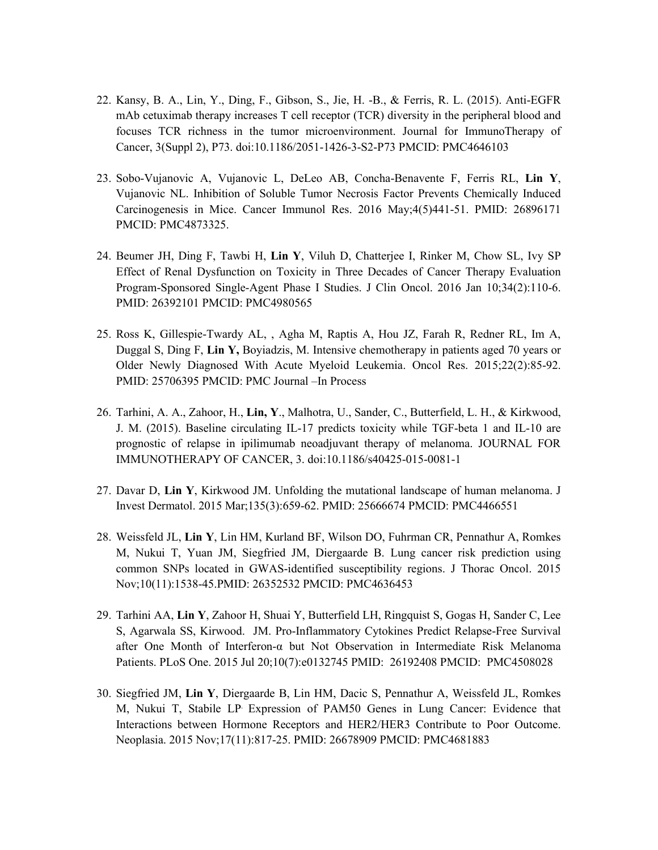- 22. Kansy, B. A., Lin, Y., Ding, F., Gibson, S., Jie, H. -B., & Ferris, R. L. (2015). Anti-EGFR mAb cetuximab therapy increases T cell receptor (TCR) diversity in the peripheral blood and focuses TCR richness in the tumor microenvironment. Journal for ImmunoTherapy of Cancer, 3(Suppl 2), P73. doi[:10.1186/2051-1426-3-S2-P73](http://doi.org/10.1186/2051-1426-3-S2-P73) PMCID: PMC4646103
- 23. [Sobo-Vujanovic A,](http://www.ncbi.nlm.nih.gov/pubmed/?term=Sobo-Vujanovic%20A%5BAuthor%5D&cauthor=true&cauthor_uid=26896171) [Vujanovic L,](http://www.ncbi.nlm.nih.gov/pubmed/?term=Vujanovic%20L%5BAuthor%5D&cauthor=true&cauthor_uid=26896171) [DeLeo AB,](http://www.ncbi.nlm.nih.gov/pubmed/?term=DeLeo%20AB%5BAuthor%5D&cauthor=true&cauthor_uid=26896171) [Concha-Benavente F,](http://www.ncbi.nlm.nih.gov/pubmed/?term=Concha-Benavente%20F%5BAuthor%5D&cauthor=true&cauthor_uid=26896171) [Ferris RL,](http://www.ncbi.nlm.nih.gov/pubmed/?term=Ferris%20RL%5BAuthor%5D&cauthor=true&cauthor_uid=26896171) **[Lin Y](http://www.ncbi.nlm.nih.gov/pubmed/?term=Lin%20Y%5BAuthor%5D&cauthor=true&cauthor_uid=26896171)**, [Vujanovic NL.](http://www.ncbi.nlm.nih.gov/pubmed/?term=Vujanovic%20NL%5BAuthor%5D&cauthor=true&cauthor_uid=26896171) Inhibition of Soluble Tumor Necrosis Factor Prevents Chemically Induced Carcinogenesis in Mice. Cancer Immunol Res. 2016 May;4(5)441-51. PMID: 26896171 PMCID: PMC4873325.
- 24. [Beumer JH,](http://www.ncbi.nlm.nih.gov/pubmed/?term=Beumer%20JH%5BAuthor%5D&cauthor=true&cauthor_uid=26392101) [Ding F,](http://www.ncbi.nlm.nih.gov/pubmed/?term=Ding%20F%5BAuthor%5D&cauthor=true&cauthor_uid=26392101) [Tawbi H,](http://www.ncbi.nlm.nih.gov/pubmed/?term=Tawbi%20H%5BAuthor%5D&cauthor=true&cauthor_uid=26392101) **[Lin Y](http://www.ncbi.nlm.nih.gov/pubmed/?term=Lin%20Y%5BAuthor%5D&cauthor=true&cauthor_uid=26392101)**, [Viluh D,](http://www.ncbi.nlm.nih.gov/pubmed/?term=Viluh%20D%5BAuthor%5D&cauthor=true&cauthor_uid=26392101) [Chatterjee I,](http://www.ncbi.nlm.nih.gov/pubmed/?term=Chatterjee%20I%5BAuthor%5D&cauthor=true&cauthor_uid=26392101) [Rinker M,](http://www.ncbi.nlm.nih.gov/pubmed/?term=Rinker%20M%5BAuthor%5D&cauthor=true&cauthor_uid=26392101) [Chow SL,](http://www.ncbi.nlm.nih.gov/pubmed/?term=Chow%20SL%5BAuthor%5D&cauthor=true&cauthor_uid=26392101) [Ivy SP](http://www.ncbi.nlm.nih.gov/pubmed/?term=Ivy%20SP%5BAuthor%5D&cauthor=true&cauthor_uid=26392101) Effect of Renal Dysfunction on Toxicity in Three Decades of Cancer Therapy Evaluation Program-Sponsored Single-Agent Phase I Studies. J [Clin Oncol.](http://www.ncbi.nlm.nih.gov/pubmed/?term=26392101) 2016 Jan 10;34(2):110-6. PMID: 26392101 PMCID: PMC4980565
- 25. [Ross K,](http://www.ncbi.nlm.nih.gov/pubmed/?term=Ross%20K%5BAuthor%5D&cauthor=true&cauthor_uid=25706395) [Gillespie-Twardy AL,](http://www.ncbi.nlm.nih.gov/pubmed/?term=Gillespie-Twardy%20AL%5BAuthor%5D&cauthor=true&cauthor_uid=25706395) [, Agha M,](http://www.ncbi.nlm.nih.gov/pubmed/?term=Agha%20M%5BAuthor%5D&cauthor=true&cauthor_uid=25706395) [Raptis A,](http://www.ncbi.nlm.nih.gov/pubmed/?term=Raptis%20A%5BAuthor%5D&cauthor=true&cauthor_uid=25706395) [Hou JZ,](http://www.ncbi.nlm.nih.gov/pubmed/?term=Hou%20JZ%5BAuthor%5D&cauthor=true&cauthor_uid=25706395) [Farah R,](http://www.ncbi.nlm.nih.gov/pubmed/?term=Farah%20R%5BAuthor%5D&cauthor=true&cauthor_uid=25706395) [Redner RL,](http://www.ncbi.nlm.nih.gov/pubmed/?term=Redner%20RL%5BAuthor%5D&cauthor=true&cauthor_uid=25706395) [Im A,](http://www.ncbi.nlm.nih.gov/pubmed/?term=Im%20A%5BAuthor%5D&cauthor=true&cauthor_uid=25706395) [Duggal S,](http://www.ncbi.nlm.nih.gov/pubmed/?term=Duggal%20S%5BAuthor%5D&cauthor=true&cauthor_uid=25706395) [Ding F,](http://www.ncbi.nlm.nih.gov/pubmed/?term=Ding%20F%5BAuthor%5D&cauthor=true&cauthor_uid=25706395) **[Lin Y,](http://www.ncbi.nlm.nih.gov/pubmed/?term=Lin%20Y%5BAuthor%5D&cauthor=true&cauthor_uid=25706395)** Boyiadzis, M. Intensive chemotherapy in patients aged 70 years or Older Newly Diagnosed With Acute Myeloid Leukemia. [Oncol Res.](http://www.ncbi.nlm.nih.gov/pubmed/25706395) 2015;22(2):85-92. PMID: 25706395 PMCID: PMC Journal –In Process
- 26. Tarhini, A. A., Zahoor, H., **Lin, Y**., Malhotra, U., Sander, C., Butterfield, L. H., & Kirkwood, J. M. (2015). Baseline circulating IL-17 predicts toxicity while TGF-beta 1 and IL-10 are prognostic of relapse in ipilimumab neoadjuvant therapy of melanoma. JOURNAL FOR IMMUNOTHERAPY OF CANCER, 3. doi[:10.1186/s40425-015-0081-1](http://doi.org/10.1186/s40425-015-0081-1)
- 27. D[avar D,](http://www.ncbi.nlm.nih.gov/pubmed/?term=Davar%20D%5BAuthor%5D&cauthor=true&cauthor_uid=25666674) **[Lin Y](http://www.ncbi.nlm.nih.gov/pubmed/?term=Lin%20Y%5BAuthor%5D&cauthor=true&cauthor_uid=25666674)**, [Kirkwood JM.](http://www.ncbi.nlm.nih.gov/pubmed/?term=Kirkwood%20JM%5BAuthor%5D&cauthor=true&cauthor_uid=25666674) Unfolding the mutational landscape of human melanoma. [J](http://www.ncbi.nlm.nih.gov/pubmed/?term=Davar+D%2C+Lin+Y%2C+Kirkwood+JM)  [Invest Dermatol.](http://www.ncbi.nlm.nih.gov/pubmed/?term=Davar+D%2C+Lin+Y%2C+Kirkwood+JM) 2015 Mar;135(3):659-62. PMID: 25666674 PMCID: PMC4466551
- 28. [Weissfeld JL,](http://www.ncbi.nlm.nih.gov/pubmed/?term=Weissfeld%20JL%5BAuthor%5D&cauthor=true&cauthor_uid=26352532) **[Lin Y](http://www.ncbi.nlm.nih.gov/pubmed/?term=Lin%20Y%5BAuthor%5D&cauthor=true&cauthor_uid=26352532)**, [Lin HM,](http://www.ncbi.nlm.nih.gov/pubmed/?term=Lin%20HM%5BAuthor%5D&cauthor=true&cauthor_uid=26352532) [Kurland BF,](http://www.ncbi.nlm.nih.gov/pubmed/?term=Kurland%20BF%5BAuthor%5D&cauthor=true&cauthor_uid=26352532) [Wilson DO,](http://www.ncbi.nlm.nih.gov/pubmed/?term=Wilson%20DO%5BAuthor%5D&cauthor=true&cauthor_uid=26352532) [Fuhrman CR,](http://www.ncbi.nlm.nih.gov/pubmed/?term=Fuhrman%20CR%5BAuthor%5D&cauthor=true&cauthor_uid=26352532) [Pennathur A,](http://www.ncbi.nlm.nih.gov/pubmed/?term=Pennathur%20A%5BAuthor%5D&cauthor=true&cauthor_uid=26352532) [Romkes](http://www.ncbi.nlm.nih.gov/pubmed/?term=Romkes%20M%5BAuthor%5D&cauthor=true&cauthor_uid=26352532)  [M,](http://www.ncbi.nlm.nih.gov/pubmed/?term=Romkes%20M%5BAuthor%5D&cauthor=true&cauthor_uid=26352532) [Nukui T,](http://www.ncbi.nlm.nih.gov/pubmed/?term=Nukui%20T%5BAuthor%5D&cauthor=true&cauthor_uid=26352532) [Yuan JM,](http://www.ncbi.nlm.nih.gov/pubmed/?term=Yuan%20JM%5BAuthor%5D&cauthor=true&cauthor_uid=26352532) [Siegfried JM,](http://www.ncbi.nlm.nih.gov/pubmed/?term=Siegfried%20JM%5BAuthor%5D&cauthor=true&cauthor_uid=26352532) [Diergaarde B.](http://www.ncbi.nlm.nih.gov/pubmed/?term=Diergaarde%20B%5BAuthor%5D&cauthor=true&cauthor_uid=26352532) Lung cancer risk prediction using common SNPs located in GWAS-identified susceptibility regions. [J Thorac Oncol.](http://www.ncbi.nlm.nih.gov/pubmed/26352532?itool=EntrezSystem2.PEntrez.Pubmed.Pubmed_ResultsPanel.Pubmed_RVDocSum&ordinalpos=1) 2015 Nov;10(11):1538-45.PMID: 26352532 PMCID: PMC4636453
- 29. [Tarhini AA,](http://www.ncbi.nlm.nih.gov/pubmed/?term=Tarhini%20AA%5BAuthor%5D&cauthor=true&cauthor_uid=26192408) **[Lin Y](http://www.ncbi.nlm.nih.gov/pubmed/?term=Lin%20Y%5BAuthor%5D&cauthor=true&cauthor_uid=26192408)**, [Zahoor H,](http://www.ncbi.nlm.nih.gov/pubmed/?term=Zahoor%20H%5BAuthor%5D&cauthor=true&cauthor_uid=26192408) [Shuai Y,](http://www.ncbi.nlm.nih.gov/pubmed/?term=Shuai%20Y%5BAuthor%5D&cauthor=true&cauthor_uid=26192408) [Butterfield LH,](http://www.ncbi.nlm.nih.gov/pubmed/?term=Butterfield%20LH%5BAuthor%5D&cauthor=true&cauthor_uid=26192408) [Ringquist S,](http://www.ncbi.nlm.nih.gov/pubmed/?term=Ringquist%20S%5BAuthor%5D&cauthor=true&cauthor_uid=26192408) [Gogas H,](http://www.ncbi.nlm.nih.gov/pubmed/?term=Gogas%20H%5BAuthor%5D&cauthor=true&cauthor_uid=26192408) [Sander C,](http://www.ncbi.nlm.nih.gov/pubmed/?term=Sander%20C%5BAuthor%5D&cauthor=true&cauthor_uid=26192408) [Lee](http://www.ncbi.nlm.nih.gov/pubmed/?term=Lee%20S%5BAuthor%5D&cauthor=true&cauthor_uid=26192408)  [S,](http://www.ncbi.nlm.nih.gov/pubmed/?term=Lee%20S%5BAuthor%5D&cauthor=true&cauthor_uid=26192408) [Agarwala SS,](http://www.ncbi.nlm.nih.gov/pubmed/?term=Agarwala%20SS%5BAuthor%5D&cauthor=true&cauthor_uid=26192408) [Kirwood. JM.](http://www.ncbi.nlm.nih.gov/pubmed/?term=Kirwood%20JM%5BAuthor%5D&cauthor=true&cauthor_uid=26192408) Pro-Inflammatory Cytokines Predict Relapse-Free Survival after One Month of Interferon-α but Not Observation in Intermediate Risk Melanoma Patients. [PLoS One.](http://www.ncbi.nlm.nih.gov/pubmed/?term=26192408) 2015 Jul 20;10(7):e0132745 PMID: 26192408 PMCID: PMC4508028
- 30. [Siegfried JM,](http://www.ncbi.nlm.nih.gov/pubmed/?term=Siegfried%20JM%5BAuthor%5D&cauthor=true&cauthor_uid=26678909) **[Lin Y](http://www.ncbi.nlm.nih.gov/pubmed/?term=Lin%20Y%5BAuthor%5D&cauthor=true&cauthor_uid=26678909)**, [Diergaarde B,](http://www.ncbi.nlm.nih.gov/pubmed/?term=Diergaarde%20B%5BAuthor%5D&cauthor=true&cauthor_uid=26678909) [Lin HM,](http://www.ncbi.nlm.nih.gov/pubmed/?term=Lin%20HM%5BAuthor%5D&cauthor=true&cauthor_uid=26678909) [Dacic S,](http://www.ncbi.nlm.nih.gov/pubmed/?term=Dacic%20S%5BAuthor%5D&cauthor=true&cauthor_uid=26678909) [Pennathur A,](http://www.ncbi.nlm.nih.gov/pubmed/?term=Pennathur%20A%5BAuthor%5D&cauthor=true&cauthor_uid=26678909) [Weissfeld JL,](http://www.ncbi.nlm.nih.gov/pubmed/?term=Weissfeld%20JL%5BAuthor%5D&cauthor=true&cauthor_uid=26678909) [Romkes](http://www.ncbi.nlm.nih.gov/pubmed/?term=Romkes%20M%5BAuthor%5D&cauthor=true&cauthor_uid=26678909)  [M,](http://www.ncbi.nlm.nih.gov/pubmed/?term=Romkes%20M%5BAuthor%5D&cauthor=true&cauthor_uid=26678909) [Nukui T,](http://www.ncbi.nlm.nih.gov/pubmed/?term=Nukui%20T%5BAuthor%5D&cauthor=true&cauthor_uid=26678909) [Stabile LP.](http://www.ncbi.nlm.nih.gov/pubmed/?term=Stabile%20LP%5BAuthor%5D&cauthor=true&cauthor_uid=26678909) Expression of PAM50 Genes in Lung Cancer: Evidence that Interactions between Hormone Receptors and HER2/HER3 Contribute to Poor Outcome. [Neoplasia.](http://www.ncbi.nlm.nih.gov/pubmed/26678909?itool=EntrezSystem2.PEntrez.Pubmed.Pubmed_ResultsPanel.Pubmed_RVDocSum&ordinalpos=1) 2015 Nov;17(11):817-25. PMID: 26678909 PMCID: PMC4681883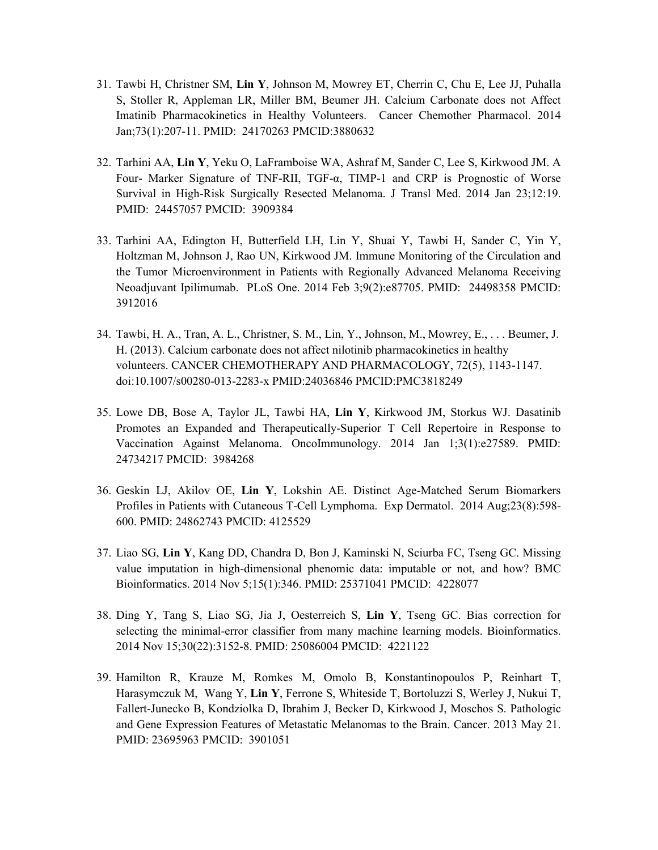- 31. [Tawbi H,](http://www.ncbi.nlm.nih.gov/pubmed?term=Tawbi%20H%5BAuthor%5D&cauthor=true&cauthor_uid=24170263) [Christner SM,](http://www.ncbi.nlm.nih.gov/pubmed?term=Christner%20SM%5BAuthor%5D&cauthor=true&cauthor_uid=24170263) **[Lin Y](http://www.ncbi.nlm.nih.gov/pubmed?term=Lin%20Y%5BAuthor%5D&cauthor=true&cauthor_uid=24170263)**, [Johnson M,](http://www.ncbi.nlm.nih.gov/pubmed?term=Johnson%20M%5BAuthor%5D&cauthor=true&cauthor_uid=24170263) [Mowrey ET,](http://www.ncbi.nlm.nih.gov/pubmed?term=Mowrey%20ET%5BAuthor%5D&cauthor=true&cauthor_uid=24170263) [Cherrin C,](http://www.ncbi.nlm.nih.gov/pubmed?term=Cherrin%20C%5BAuthor%5D&cauthor=true&cauthor_uid=24170263) [Chu E,](http://www.ncbi.nlm.nih.gov/pubmed?term=Chu%20E%5BAuthor%5D&cauthor=true&cauthor_uid=24170263) [Lee JJ,](http://www.ncbi.nlm.nih.gov/pubmed?term=Lee%20JJ%5BAuthor%5D&cauthor=true&cauthor_uid=24170263) [Puhalla](http://www.ncbi.nlm.nih.gov/pubmed?term=Puhalla%20S%5BAuthor%5D&cauthor=true&cauthor_uid=24170263)  [S,](http://www.ncbi.nlm.nih.gov/pubmed?term=Puhalla%20S%5BAuthor%5D&cauthor=true&cauthor_uid=24170263) [Stoller R,](http://www.ncbi.nlm.nih.gov/pubmed?term=Stoller%20R%5BAuthor%5D&cauthor=true&cauthor_uid=24170263) [Appleman LR,](http://www.ncbi.nlm.nih.gov/pubmed?term=Appleman%20LR%5BAuthor%5D&cauthor=true&cauthor_uid=24170263) [Miller BM,](http://www.ncbi.nlm.nih.gov/pubmed?term=Miller%20BM%5BAuthor%5D&cauthor=true&cauthor_uid=24170263) [Beumer JH.](http://www.ncbi.nlm.nih.gov/pubmed?term=Beumer%20JH%5BAuthor%5D&cauthor=true&cauthor_uid=24170263) Calcium Carbonate does not Affect Imatinib Pharmacokinetics in Healthy Volunteers. Cancer Chemother Pharmacol. 2014 Jan;73(1):207-11. PMID: 24170263 PMCID:3880632
- 32. [Tarhini AA,](http://www.ncbi.nlm.nih.gov/pubmed?term=Tarhini%20AA%5BAuthor%5D&cauthor=true&cauthor_uid=24457057) **[Lin Y](http://www.ncbi.nlm.nih.gov/pubmed?term=Lin%20Y%5BAuthor%5D&cauthor=true&cauthor_uid=24457057)**, [Yeku O,](http://www.ncbi.nlm.nih.gov/pubmed?term=Yeku%20O%5BAuthor%5D&cauthor=true&cauthor_uid=24457057) [LaFramboise WA,](http://www.ncbi.nlm.nih.gov/pubmed?term=LaFramboise%20WA%5BAuthor%5D&cauthor=true&cauthor_uid=24457057) [Ashraf M,](http://www.ncbi.nlm.nih.gov/pubmed?term=Ashraf%20M%5BAuthor%5D&cauthor=true&cauthor_uid=24457057) [Sander C,](http://www.ncbi.nlm.nih.gov/pubmed?term=Sander%20C%5BAuthor%5D&cauthor=true&cauthor_uid=24457057) [Lee S,](http://www.ncbi.nlm.nih.gov/pubmed?term=Lee%20S%5BAuthor%5D&cauthor=true&cauthor_uid=24457057) [Kirkwood JM.](http://www.ncbi.nlm.nih.gov/pubmed?term=Kirkwood%20JM%5BAuthor%5D&cauthor=true&cauthor_uid=24457057) A Four- Marker Signature of TNF-RII, TGF-α, TIMP-1 and CRP is Prognostic of Worse Survival in High-Risk Surgically Resected Melanoma. [J Transl Med.](http://www.ncbi.nlm.nih.gov/pubmed/24457057?itool=EntrezSystem2.PEntrez.Pubmed.Pubmed_ResultsPanel.Pubmed_RVDocSum&ordinalpos=1) 2014 Jan 23;12:19. PMID: 24457057 PMCID: 3909384
- 33. Tarhini AA, [Edington H,](http://www.ncbi.nlm.nih.gov/pubmed?term=Edington%20H%5BAuthor%5D&cauthor=true&cauthor_uid=24498358) [Butterfield LH,](http://www.ncbi.nlm.nih.gov/pubmed?term=Butterfield%20LH%5BAuthor%5D&cauthor=true&cauthor_uid=24498358) [Lin Y,](http://www.ncbi.nlm.nih.gov/pubmed?term=Lin%20Y%5BAuthor%5D&cauthor=true&cauthor_uid=24498358) [Shuai Y,](http://www.ncbi.nlm.nih.gov/pubmed?term=Shuai%20Y%5BAuthor%5D&cauthor=true&cauthor_uid=24498358) [Tawbi H,](http://www.ncbi.nlm.nih.gov/pubmed?term=Tawbi%20H%5BAuthor%5D&cauthor=true&cauthor_uid=24498358) [Sander C,](http://www.ncbi.nlm.nih.gov/pubmed?term=Sander%20C%5BAuthor%5D&cauthor=true&cauthor_uid=24498358) [Yin Y,](http://www.ncbi.nlm.nih.gov/pubmed?term=Yin%20Y%5BAuthor%5D&cauthor=true&cauthor_uid=24498358)  [Holtzman M,](http://www.ncbi.nlm.nih.gov/pubmed?term=Holtzman%20M%5BAuthor%5D&cauthor=true&cauthor_uid=24498358) [Johnson J,](http://www.ncbi.nlm.nih.gov/pubmed?term=Johnson%20J%5BAuthor%5D&cauthor=true&cauthor_uid=24498358) [Rao UN,](http://www.ncbi.nlm.nih.gov/pubmed?term=Rao%20UN%5BAuthor%5D&cauthor=true&cauthor_uid=24498358) [Kirkwood JM.](http://www.ncbi.nlm.nih.gov/pubmed?term=Kirkwood%20JM%5BAuthor%5D&cauthor=true&cauthor_uid=24498358) Immune Monitoring of the Circulation and the Tumor Microenvironment in Patients with Regionally Advanced Melanoma Receiving Neoadjuvant Ipilimumab. [PLoS One.](http://www.ncbi.nlm.nih.gov/pubmed/24498358?itool=EntrezSystem2.PEntrez.Pubmed.Pubmed_ResultsPanel.Pubmed_RVDocSum&ordinalpos=1) 2014 Feb 3;9(2):e87705. PMID: 24498358 PMCID: 3912016
- 34. Tawbi, H. A., Tran, A. L., Christner, S. M., Lin, Y., Johnson, M., Mowrey, E., . . . Beumer, J. H. (2013). Calcium carbonate does not affect nilotinib pharmacokinetics in healthy volunteers. CANCER CHEMOTHERAPY AND PHARMACOLOGY, 72(5), 1143-1147. doi[:10.1007/s00280-013-2283-x](http://doi.org/10.1007/s00280-013-2283-x) PMID:24036846 PMCID[:PMC3818249](https://www.ncbi.nlm.nih.gov/pmc/articles/PMC3818249/)
- 35. Lowe DB, Bose A, Taylor JL, Tawbi HA, **Lin Y**, Kirkwood JM, Storkus WJ. Dasatinib Promotes an Expanded and Therapeutically-Superior T Cell Repertoire in Response to Vaccination Against Melanoma. OncoImmunology. 2014 Jan 1;3(1):e27589. PMID: 24734217 PMCID: 3984268
- 36. [Geskin LJ,](http://www.ncbi.nlm.nih.gov/pubmed?term=Geskin%20LJ%5BAuthor%5D&cauthor=true&cauthor_uid=24862743) [Akilov](http://www.ncbi.nlm.nih.gov/pubmed?term=Akilov%20OE%5BAuthor%5D&cauthor=true&cauthor_uid=24862743) OE, **[Lin Y](http://www.ncbi.nlm.nih.gov/pubmed?term=Lin%20Y%5BAuthor%5D&cauthor=true&cauthor_uid=24862743)**, [Lokshin AE.](http://www.ncbi.nlm.nih.gov/pubmed?term=Lokshin%20AE%5BAuthor%5D&cauthor=true&cauthor_uid=24862743) Distinct Age-Matched Serum Biomarkers Profiles in Patients with Cutaneous T-Cell Lymphoma. [Exp Dermatol.](http://www.ncbi.nlm.nih.gov/pubmed/24862743?itool=EntrezSystem2.PEntrez.Pubmed.Pubmed_ResultsPanel.Pubmed_RVDocSum&ordinalpos=1) 2014 Aug;23(8):598- 600. PMID: 24862743 PMCID: 4125529
- 37. [Liao SG,](http://www.ncbi.nlm.nih.gov/pubmed?term=Liao%20SG%5BAuthor%5D&cauthor=true&cauthor_uid=25371041) **[Lin Y](http://www.ncbi.nlm.nih.gov/pubmed?term=Lin%20Y%5BAuthor%5D&cauthor=true&cauthor_uid=25371041)**, [Kang DD,](http://www.ncbi.nlm.nih.gov/pubmed?term=Kang%20DD%5BAuthor%5D&cauthor=true&cauthor_uid=25371041) [Chandra D,](http://www.ncbi.nlm.nih.gov/pubmed?term=Chandra%20D%5BAuthor%5D&cauthor=true&cauthor_uid=25371041) [Bon J,](http://www.ncbi.nlm.nih.gov/pubmed?term=Bon%20J%5BAuthor%5D&cauthor=true&cauthor_uid=25371041) [Kaminski N,](http://www.ncbi.nlm.nih.gov/pubmed?term=Kaminski%20N%5BAuthor%5D&cauthor=true&cauthor_uid=25371041) [Sciurba FC,](http://www.ncbi.nlm.nih.gov/pubmed?term=Sciurba%20FC%5BAuthor%5D&cauthor=true&cauthor_uid=25371041) [Tseng GC.](http://www.ncbi.nlm.nih.gov/pubmed?term=Tseng%20GC%5BAuthor%5D&cauthor=true&cauthor_uid=25371041) Missing value imputation in high-dimensional phenomic data: imputable or not, and how? [BMC](http://www.ncbi.nlm.nih.gov/pubmed/25371041?itool=EntrezSystem2.PEntrez.Pubmed.Pubmed_ResultsPanel.Pubmed_RVDocSum&ordinalpos=1)  [Bioinformatics.](http://www.ncbi.nlm.nih.gov/pubmed/25371041?itool=EntrezSystem2.PEntrez.Pubmed.Pubmed_ResultsPanel.Pubmed_RVDocSum&ordinalpos=1) 2014 Nov 5;15(1):346. PMID: 25371041 PMCID: 4228077
- 38. [Ding Y,](http://www.ncbi.nlm.nih.gov/pubmed?term=Ding%20Y%5BAuthor%5D&cauthor=true&cauthor_uid=25086004) [Tang S,](http://www.ncbi.nlm.nih.gov/pubmed?term=Tang%20S%5BAuthor%5D&cauthor=true&cauthor_uid=25086004) [Liao SG,](http://www.ncbi.nlm.nih.gov/pubmed?term=Liao%20SG%5BAuthor%5D&cauthor=true&cauthor_uid=25086004) [Jia J,](http://www.ncbi.nlm.nih.gov/pubmed?term=Jia%20J%5BAuthor%5D&cauthor=true&cauthor_uid=25086004) [Oesterreich S,](http://www.ncbi.nlm.nih.gov/pubmed?term=Oesterreich%20S%5BAuthor%5D&cauthor=true&cauthor_uid=25086004) **[Lin Y](http://www.ncbi.nlm.nih.gov/pubmed?term=Lin%20Y%5BAuthor%5D&cauthor=true&cauthor_uid=25086004)**, [Tseng GC.](http://www.ncbi.nlm.nih.gov/pubmed?term=Tseng%20GC%5BAuthor%5D&cauthor=true&cauthor_uid=25086004) Bias correction for selecting the minimal-error classifier from many machine learning models. [Bioinformatics.](http://www.ncbi.nlm.nih.gov/pubmed/?term=Bias+correction+for+selecting+the+minimal-error+classifier+from+many+machine+learning+models) 2014 Nov 15;30(22):3152-8. PMID: 25086004 PMCID: 4221122
- 39. Hamilton R, Krauze M, Romkes M, Omolo B, Konstantinopoulos P, Reinhart T, Harasymczuk M, Wang Y, **Lin Y**, Ferrone S, Whiteside T, Bortoluzzi S, Werley J, Nukui T, Fallert-Junecko B, Kondziolka D, Ibrahim J, Becker D, Kirkwood J, Moschos S. Pathologic and Gene Expression Features of Metastatic Melanomas to the Brain. Cancer. 2013 May 21. PMID: 23695963 PMCID: 3901051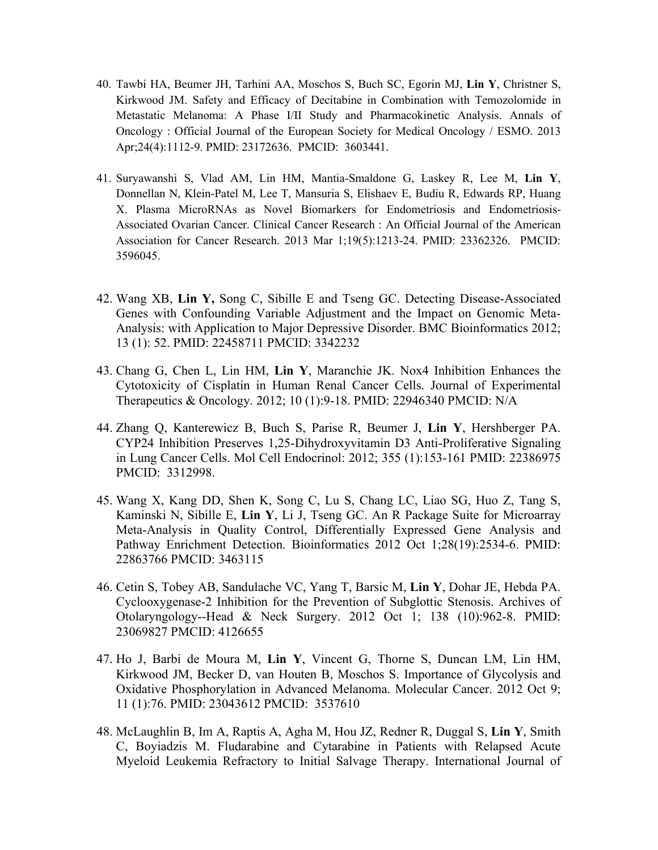- 40. Tawbi HA, Beumer JH, Tarhini AA, Moschos S, Buch SC, Egorin MJ, **Lin Y**, Christner S, Kirkwood JM. Safety and Efficacy of Decitabine in Combination with Temozolomide in Metastatic Melanoma: A Phase I/II Study and Pharmacokinetic Analysis. Annals of Oncology : Official Journal of the European Society for Medical Oncology / ESMO. 2013 Apr;24(4):1112-9. PMID: 23172636. PMCID: 3603441.
- 41. Suryawanshi S, Vlad AM, Lin HM, Mantia-Smaldone G, Laskey R, Lee M, **Lin Y**, Donnellan N, Klein-Patel M, Lee T, Mansuria S, Elishaev E, Budiu R, Edwards RP, Huang X. Plasma MicroRNAs as Novel Biomarkers for Endometriosis and Endometriosis-Associated Ovarian Cancer. Clinical Cancer Research : An Official Journal of the American Association for Cancer Research. 2013 Mar 1;19(5):1213-24. PMID: 23362326. PMCID: 3596045.
- 42. Wang XB, **Lin Y,** Song C, Sibille E and Tseng GC. Detecting Disease-Associated Genes with Confounding Variable Adjustment and the Impact on Genomic Meta-Analysis: with Application to Major Depressive Disorder. BMC Bioinformatics 2012; 13 (1): 52. PMID: 22458711 PMCID: 3342232
- 43. Chang G, Chen L, Lin HM, **Lin Y**, Maranchie JK. Nox4 Inhibition Enhances the Cytotoxicity of Cisplatin in Human Renal Cancer Cells. Journal of Experimental Therapeutics & Oncology. 2012; 10 (1):9-18. PMID: 22946340 PMCID: N/A
- 44. Zhang Q, Kanterewicz B, Buch S, Parise R, Beumer J, **Lin Y**, Hershberger PA. CYP24 Inhibition Preserves 1,25-Dihydroxyvitamin D3 Anti-Proliferative Signaling in Lung Cancer Cells. Mol Cell Endocrinol: 2012; 355 (1):153-161 PMID: 22386975 PMCID: 3312998.
- 45. Wang X, Kang DD, Shen K, Song C, Lu S, Chang LC, Liao SG, Huo Z, Tang S, Kaminski N, Sibille E, **Lin Y**, Li J, Tseng GC. An R Package Suite for Microarray Meta-Analysis in Quality Control, Differentially Expressed Gene Analysis and Pathway Enrichment Detection. Bioinformatics 2012 Oct 1;28(19):2534-6. PMID: 22863766 PMCID: 3463115
- 46. Cetin S, Tobey AB, Sandulache VC, Yang T, Barsic M, **Lin Y**, Dohar JE, Hebda PA. Cyclooxygenase-2 Inhibition for the Prevention of Subglottic Stenosis. Archives of Otolaryngology--Head & Neck Surgery. 2012 Oct 1; 138 (10):962-8. PMID: 23069827 PMCID: 4126655
- 47. Ho J, Barbi de Moura M, **Lin Y**, Vincent G, Thorne S, Duncan LM, Lin HM, Kirkwood JM, Becker D, van Houten B, Moschos S. Importance of Glycolysis and Oxidative Phosphorylation in Advanced Melanoma. Molecular Cancer. 2012 Oct 9; 11 (1):76. PMID: 23043612 PMCID: 3537610
- 48. McLaughlin B, Im A, Raptis A, Agha M, Hou JZ, Redner R, Duggal S, **Lin Y**, Smith C, Boyiadzis M. Fludarabine and Cytarabine in Patients with Relapsed Acute Myeloid Leukemia Refractory to Initial Salvage Therapy. International Journal of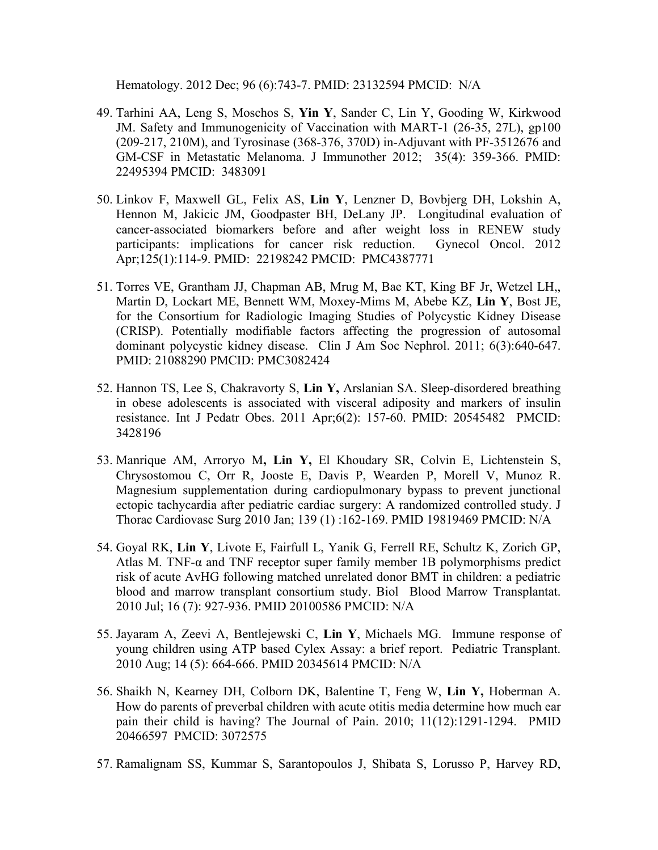Hematology. 2012 Dec; 96 (6):743-7. PMID: 23132594 PMCID: N/A

- 49. Tarhini AA, Leng S, Moschos S, **Yin Y**, Sander C, Lin Y, Gooding W, Kirkwood JM. Safety and Immunogenicity of Vaccination with MART-1 (26-35, 27L), gp100 (209-217, 210M), and Tyrosinase (368-376, 370D) in-Adjuvant with PF-3512676 and GM-CSF in Metastatic Melanoma. J Immunother 2012; 35(4): 359-366. PMID: 22495394 PMCID: 3483091
- 50. Linkov F, Maxwell GL, Felix AS, **Lin Y**, Lenzner D, Bovbjerg DH, Lokshin A, Hennon M, Jakicic JM, Goodpaster BH, DeLany JP. Longitudinal evaluation of cancer-associated biomarkers before and after weight loss in RENEW study participants: implications for cancer risk reduction. Gynecol Oncol. 2012 Apr;125(1):114-9. PMID: 22198242 PMCID: PMC4387771
- 51. Torres VE, Grantham JJ, Chapman AB, Mrug M, Bae KT, King BF Jr, Wetzel LH,, Martin D, Lockart ME, Bennett WM, Moxey-Mims M, Abebe KZ, **Lin Y**, Bost JE, for the Consortium for Radiologic Imaging Studies of Polycystic Kidney Disease (CRISP). Potentially modifiable factors affecting the progression of autosomal dominant polycystic kidney disease. Clin J Am Soc Nephrol. 2011; 6(3):640-647. PMID: 21088290 PMCID: PMC3082424
- 52. Hannon TS, Lee S, Chakravorty S, **Lin Y,** Arslanian SA. Sleep-disordered breathing in obese adolescents is associated with visceral adiposity and markers of insulin resistance. Int J Pedatr Obes. 2011 Apr;6(2): 157-60. PMID: 20545482 PMCID: 3428196
- 53. Manrique AM, Arroryo M**, Lin Y,** El Khoudary SR, Colvin E, Lichtenstein S, Chrysostomou C, Orr R, Jooste E, Davis P, Wearden P, Morell V, Munoz R. Magnesium supplementation during cardiopulmonary bypass to prevent junctional ectopic tachycardia after pediatric cardiac surgery: A randomized controlled study. J Thorac Cardiovasc Surg 2010 Jan; 139 (1) :162-169. PMID 19819469 PMCID: N/A
- 54. Goyal RK, **Lin Y**, Livote E, Fairfull L, Yanik G, Ferrell RE, Schultz K, Zorich GP, Atlas M. TNF- $\alpha$  and TNF receptor super family member 1B polymorphisms predict risk of acute AvHG following matched unrelated donor BMT in children: a pediatric blood and marrow transplant consortium study. Biol Blood Marrow Transplantat. 2010 Jul; 16 (7): 927-936. PMID 20100586 PMCID: N/A
- 55. Jayaram A, Zeevi A, Bentlejewski C, **Lin Y**, Michaels MG. Immune response of young children using ATP based Cylex Assay: a brief report. Pediatric Transplant. 2010 Aug; 14 (5): 664-666. PMID 20345614 PMCID: N/A
- 56. Shaikh N, Kearney DH, Colborn DK, Balentine T, Feng W, **Lin Y,** Hoberman A. How do parents of preverbal children with acute otitis media determine how much ear pain their child is having? The Journal of Pain. 2010; 11(12):1291-1294. PMID 20466597 PMCID: 3072575
- 57. Ramalignam SS, Kummar S, Sarantopoulos J, Shibata S, Lorusso P, Harvey RD,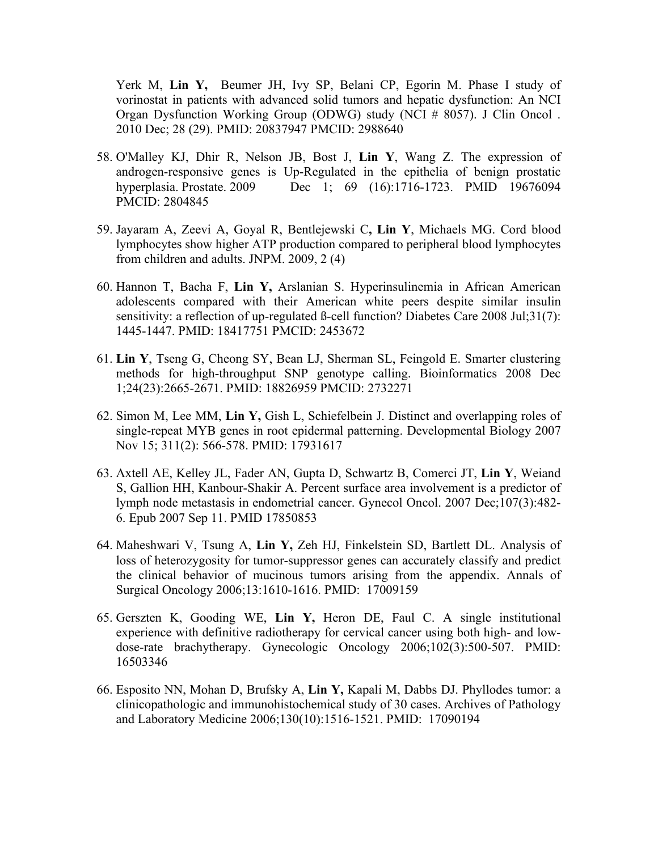Yerk M, **Lin Y,** Beumer JH, Ivy SP, Belani CP, Egorin M. Phase I study of vorinostat in patients with advanced solid tumors and hepatic dysfunction: An NCI Organ Dysfunction Working Group (ODWG) study (NCI # 8057). J Clin Oncol . 2010 Dec; 28 (29). PMID: 20837947 PMCID: 2988640

- 58. O'Malley KJ, Dhir R, Nelson JB, Bost J, **Lin Y**, Wang Z. The expression of androgen-responsive genes is Up-Regulated in the epithelia of benign prostatic hyperplasia. Prostate. 2009 Dec 1; 69 (16):1716-1723. PMID 19676094 PMCID: 2804845
- 59. Jayaram A, Zeevi A, Goyal R, Bentlejewski C**, Lin Y**, Michaels MG. Cord blood lymphocytes show higher ATP production compared to peripheral blood lymphocytes from children and adults. JNPM. 2009, 2 (4)
- 60. Hannon T, Bacha F, **Lin Y,** Arslanian S. Hyperinsulinemia in African American adolescents compared with their American white peers despite similar insulin sensitivity: a reflection of up-regulated B-cell function? Diabetes Care 2008 Jul;31(7): 1445-1447. PMID: 18417751 PMCID: 2453672
- 61. **Lin Y**, Tseng G, Cheong SY, Bean LJ, Sherman SL, Feingold E. Smarter clustering methods for high-throughput SNP genotype calling. Bioinformatics 2008 Dec 1;24(23):2665-2671. PMID: 18826959 PMCID: 2732271
- 62. Simon M, Lee MM, **Lin Y,** Gish L, Schiefelbein J. Distinct and overlapping roles of single-repeat MYB genes in root epidermal patterning. Developmental Biology 2007 Nov 15; 311(2): 566-578. PMID: 17931617
- 63. Axtell AE, Kelley JL, Fader AN, Gupta D, Schwartz B, Comerci JT, **Lin Y**, Weiand S, Gallion HH, Kanbour-Shakir A. Percent surface area involvement is a predictor of lymph node metastasis in endometrial cancer. Gynecol Oncol. 2007 Dec;107(3):482- 6. Epub 2007 Sep 11. PMID 17850853
- 64. Maheshwari V, Tsung A, **Lin Y,** Zeh HJ, Finkelstein SD, Bartlett DL. Analysis of loss of heterozygosity for tumor-suppressor genes can accurately classify and predict the clinical behavior of mucinous tumors arising from the appendix. Annals of Surgical Oncology 2006;13:1610-1616. PMID: 17009159
- 65. Gerszten K, Gooding WE, **Lin Y,** Heron DE, Faul C. A single institutional experience with definitive radiotherapy for cervical cancer using both high- and lowdose-rate brachytherapy. Gynecologic Oncology 2006;102(3):500-507. PMID: 16503346
- 66. [Esposito NN,](http://www.ncbi.nlm.nih.gov/sites/entrez?Db=pubmed&Cmd=Search&Term=%22Esposito%20NN%22%5BAuthor%5D&itool=EntrezSystem2.PEntrez.Pubmed.Pubmed_ResultsPanel.Pubmed_RVCitation) [Mohan D,](http://www.ncbi.nlm.nih.gov/sites/entrez?Db=pubmed&Cmd=Search&Term=%22Mohan%20D%22%5BAuthor%5D&itool=EntrezSystem2.PEntrez.Pubmed.Pubmed_ResultsPanel.Pubmed_RVCitation) [Brufsky A,](http://www.ncbi.nlm.nih.gov/sites/entrez?Db=pubmed&Cmd=Search&Term=%22Brufsky%20A%22%5BAuthor%5D&itool=EntrezSystem2.PEntrez.Pubmed.Pubmed_ResultsPanel.Pubmed_RVCitation) **[Lin Y,](http://www.ncbi.nlm.nih.gov/sites/entrez?Db=pubmed&Cmd=Search&Term=%22Lin%20Y%22%5BAuthor%5D&itool=EntrezSystem2.PEntrez.Pubmed.Pubmed_ResultsPanel.Pubmed_RVCitation)** [Kapali M,](http://www.ncbi.nlm.nih.gov/sites/entrez?Db=pubmed&Cmd=Search&Term=%22Kapali%20M%22%5BAuthor%5D&itool=EntrezSystem2.PEntrez.Pubmed.Pubmed_ResultsPanel.Pubmed_RVCitation) [Dabbs DJ.](http://www.ncbi.nlm.nih.gov/sites/entrez?Db=pubmed&Cmd=Search&Term=%22Dabbs%20DJ%22%5BAuthor%5D&itool=EntrezSystem2.PEntrez.Pubmed.Pubmed_ResultsPanel.Pubmed_RVCitation) Phyllodes tumor: a clinicopathologic and immunohistochemical study of 30 cases. [Archives of Pathology](javascript:AL_get(this,%20)  [and Laboratory Medicine 2006;1](javascript:AL_get(this,%20)30(10):1516-1521. PMID: 17090194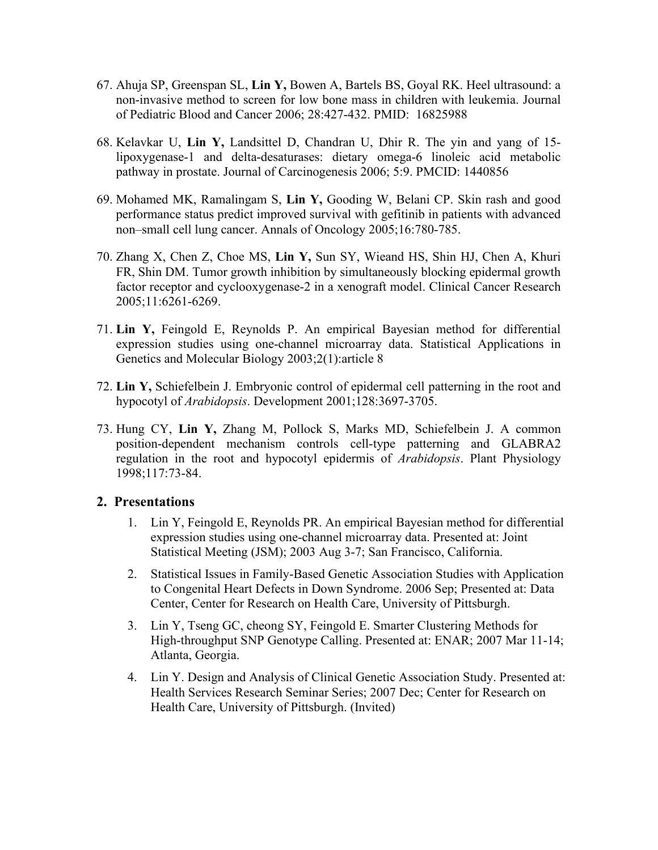- 67. Ahuja SP, Greenspan SL, **Lin Y,** Bowen A, Bartels BS, Goyal RK. Heel ultrasound: a non-invasive method to screen for low bone mass in children with leukemia. Journal of Pediatric Blood and Cancer 2006; 28:427-432. PMID: 16825988
- 68. Kelavkar U, **Lin Y,** Landsittel D, Chandran U, Dhir R. The yin and yang of 15 lipoxygenase-1 and delta-desaturases: dietary omega-6 linoleic acid metabolic pathway in prostate. Journal of Carcinogenesis 2006; 5:9. PMCID: 1440856
- 69. Mohamed MK, Ramalingam S, **Lin Y,** Gooding W, Belani CP. Skin rash and good performance status predict improved survival with gefitinib in patients with advanced non–small cell lung cancer. Annals of Oncology 2005;16:780-785.
- 70. Zhang X, Chen Z, Choe MS, **Lin Y,** Sun SY, Wieand HS, Shin HJ, Chen A, Khuri FR, Shin DM. Tumor growth inhibition by simultaneously blocking epidermal growth factor receptor and cyclooxygenase-2 in a xenograft model. Clinical Cancer Research 2005;11:6261-6269.
- 71. **Lin Y,** Feingold E, Reynolds P. An empirical Bayesian method for differential expression studies using one-channel microarray data. Statistical Applications in Genetics and Molecular Biology 2003;2(1):article 8
- 72. **Lin Y,** Schiefelbein J. Embryonic control of epidermal cell patterning in the root and hypocotyl of *Arabidopsis*. Development 2001;128:3697-3705.
- 73. Hung CY, **Lin Y,** Zhang M, Pollock S, Marks MD, Schiefelbein J. A common position-dependent mechanism controls cell-type patterning and GLABRA2 regulation in the root and hypocotyl epidermis of *Arabidopsis*. Plant Physiology 1998;117:73-84.

#### **2. Presentations**

- 1. Lin Y, Feingold E, Reynolds PR. An empirical Bayesian method for differential expression studies using one-channel microarray data. Presented at: Joint Statistical Meeting (JSM); 2003 Aug 3-7; San Francisco, California.
- 2. Statistical Issues in Family-Based Genetic Association Studies with Application to Congenital Heart Defects in Down Syndrome. 2006 Sep; Presented at: Data Center, Center for Research on Health Care, University of Pittsburgh.
- 3. Lin Y, Tseng GC, cheong SY, Feingold E. Smarter Clustering Methods for High-throughput SNP Genotype Calling. Presented at: ENAR; 2007 Mar 11-14; Atlanta, Georgia.
- 4. Lin Y. Design and Analysis of Clinical Genetic Association Study. Presented at: Health Services Research Seminar Series; 2007 Dec; Center for Research on Health Care, University of Pittsburgh. (Invited)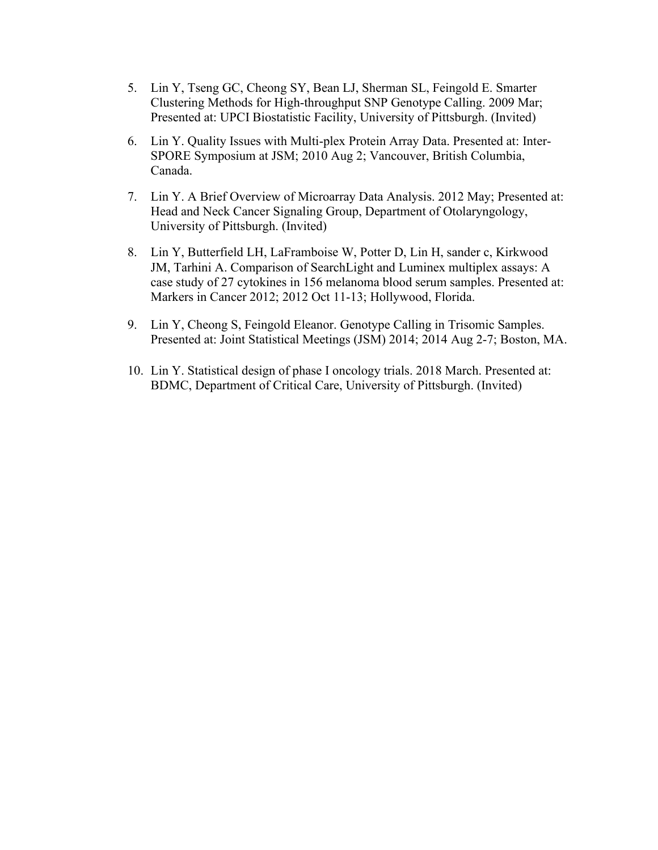- 5. Lin Y, Tseng GC, Cheong SY, Bean LJ, Sherman SL, Feingold E. Smarter Clustering Methods for High-throughput SNP Genotype Calling. 2009 Mar; Presented at: UPCI Biostatistic Facility, University of Pittsburgh. (Invited)
- 6. Lin Y. Quality Issues with Multi-plex Protein Array Data. Presented at: Inter-SPORE Symposium at JSM; 2010 Aug 2; Vancouver, British Columbia, Canada.
- 7. Lin Y. A Brief Overview of Microarray Data Analysis. 2012 May; Presented at: Head and Neck Cancer Signaling Group, Department of Otolaryngology, University of Pittsburgh. (Invited)
- 8. Lin Y, Butterfield LH, LaFramboise W, Potter D, Lin H, sander c, Kirkwood JM, Tarhini A. Comparison of SearchLight and Luminex multiplex assays: A case study of 27 cytokines in 156 melanoma blood serum samples. Presented at: Markers in Cancer 2012; 2012 Oct 11-13; Hollywood, Florida.
- 9. Lin Y, Cheong S, Feingold Eleanor. Genotype Calling in Trisomic Samples. Presented at: Joint Statistical Meetings (JSM) 2014; 2014 Aug 2-7; Boston, MA.
- 10. Lin Y. Statistical design of phase I oncology trials. 2018 March. Presented at: BDMC, Department of Critical Care, University of Pittsburgh. (Invited)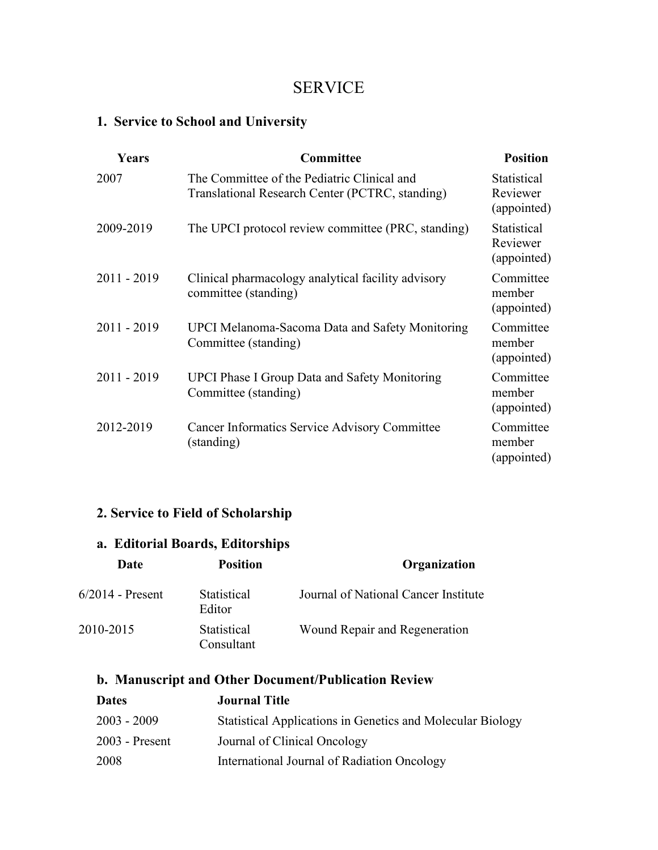## SERVICE

## **1. Service to School and University**

| Years         | Committee                                                                                      | <b>Position</b>                        |
|---------------|------------------------------------------------------------------------------------------------|----------------------------------------|
| 2007          | The Committee of the Pediatric Clinical and<br>Translational Research Center (PCTRC, standing) | Statistical<br>Reviewer<br>(appointed) |
| 2009-2019     | The UPCI protocol review committee (PRC, standing)                                             | Statistical<br>Reviewer<br>(appointed) |
| $2011 - 2019$ | Clinical pharmacology analytical facility advisory<br>committee (standing)                     | Committee<br>member<br>(appointed)     |
| $2011 - 2019$ | <b>UPCI Melanoma-Sacoma Data and Safety Monitoring</b><br>Committee (standing)                 | Committee<br>member<br>(appointed)     |
| $2011 - 2019$ | <b>UPCI Phase I Group Data and Safety Monitoring</b><br>Committee (standing)                   | Committee<br>member<br>(appointed)     |
| 2012-2019     | Cancer Informatics Service Advisory Committee<br>(standing)                                    | Committee<br>member<br>(appointed)     |

## **2. Service to Field of Scholarship**

## **a. Editorial Boards, Editorships**

| Date               | <b>Position</b>              | Organization                         |
|--------------------|------------------------------|--------------------------------------|
| $6/2014$ - Present | <b>Statistical</b><br>Editor | Journal of National Cancer Institute |
| 2010-2015          | Statistical<br>Consultant    | Wound Repair and Regeneration        |

## **b. Manuscript and Other Document/Publication Review**

| <b>Dates</b>     | <b>Journal Title</b>                                       |
|------------------|------------------------------------------------------------|
| $2003 - 2009$    | Statistical Applications in Genetics and Molecular Biology |
| $2003$ - Present | Journal of Clinical Oncology                               |
| 2008             | International Journal of Radiation Oncology                |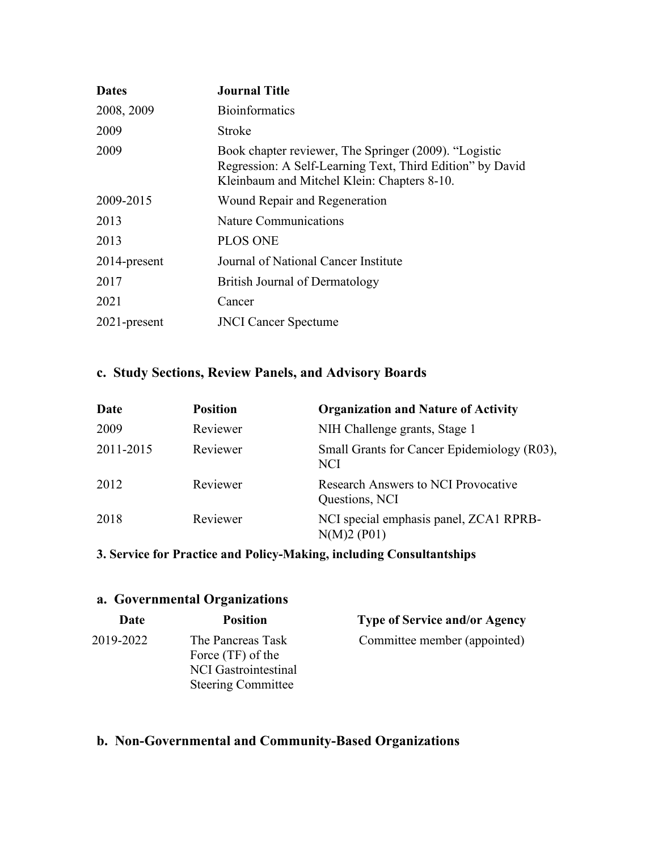| <b>Dates</b> | <b>Journal Title</b>                                                                                                                                              |  |
|--------------|-------------------------------------------------------------------------------------------------------------------------------------------------------------------|--|
| 2008, 2009   | <b>Bioinformatics</b>                                                                                                                                             |  |
| 2009         | Stroke                                                                                                                                                            |  |
| 2009         | Book chapter reviewer, The Springer (2009). "Logistic<br>Regression: A Self-Learning Text, Third Edition" by David<br>Kleinbaum and Mitchel Klein: Chapters 8-10. |  |
| 2009-2015    | Wound Repair and Regeneration                                                                                                                                     |  |
| 2013         | <b>Nature Communications</b>                                                                                                                                      |  |
| 2013         | <b>PLOS ONE</b>                                                                                                                                                   |  |
| 2014-present | Journal of National Cancer Institute                                                                                                                              |  |
| 2017         | British Journal of Dermatology                                                                                                                                    |  |
| 2021         | Cancer                                                                                                                                                            |  |
| 2021-present | <b>JNCI</b> Cancer Spectume                                                                                                                                       |  |

### **c. Study Sections, Review Panels, and Advisory Boards**

| Date      | <b>Position</b> | <b>Organization and Nature of Activity</b>            |
|-----------|-----------------|-------------------------------------------------------|
| 2009      | Reviewer        | NIH Challenge grants, Stage 1                         |
| 2011-2015 | Reviewer        | Small Grants for Cancer Epidemiology (R03),<br>NCI    |
| 2012      | Reviewer        | Research Answers to NCI Provocative<br>Questions, NCI |
| 2018      | Reviewer        | NCI special emphasis panel, ZCA1 RPRB-<br>N(M)2 (P01) |

### **3. Service for Practice and Policy-Making, including Consultantships**

#### **a. Governmental Organizations Date Position Type of Service and/or Agency** 2019-2022 The Pancreas Task Force (TF) of the NCI Gastrointestinal Steering Committee Committee member (appointed)

### **b. Non-Governmental and Community-Based Organizations**